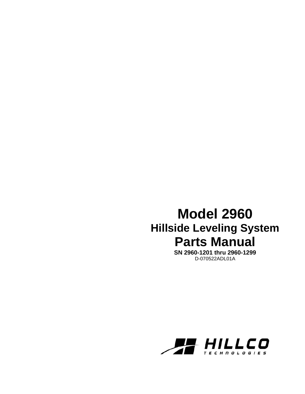# **Model 2960 Hillside Leveling System Parts Manual**

**SN 2960-1201 thru 2960-1299**  D-070522ADL01A

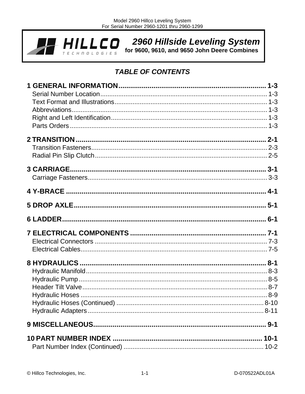

2960 Hillside Leveling System

for 9600, 9610, and 9650 John Deere Combines

# **TABLE OF CONTENTS**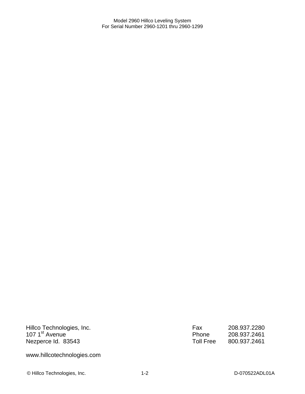Hillco Technologies, Inc. 107 1<sup>st</sup> Avenue Nezperce Id. 83543

Fax 208.937.2280 Phone 208.937.2461<br>Toll Free 800.937.2461 Toll Free 800.937.2461

www.hillcotechnologies.com

© Hillco Technologies, Inc. 1-2 1-2 D-070522ADL01A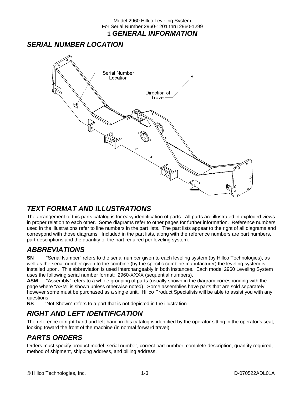#### Model 2960 Hillco Leveling System For Serial Number 2960-1201 thru 2960-1299 **1** *GENERAL INFORMATION*

# *SERIAL NUMBER LOCATION*



# *TEXT FORMAT AND ILLUSTRATIONS*

The arrangement of this parts catalog is for easy identification of parts. All parts are illustrated in exploded views in proper relation to each other. Some diagrams refer to other pages for further information. Reference numbers used in the illustrations refer to line numbers in the part lists. The part lists appear to the right of all diagrams and correspond with those diagrams. Included in the part lists, along with the reference numbers are part numbers, part descriptions and the quantity of the part required per leveling system.

### *ABBREVIATIONS*

**SN** "Serial Number" refers to the serial number given to each leveling system (by Hillco Technologies), as well as the serial number given to the combine (by the specific combine manufacturer) the leveling system is installed upon. This abbreviation is used interchangeably in both instances. Each model 2960 Leveling System uses the following serial number format: 2960-XXXX (sequential numbers).

**ASM** "Assembly" refers to a whole grouping of parts (usually shown in the diagram corresponding with the page where "ASM" is shown unless otherwise noted). Some assemblies have parts that are sold separately, however some must be purchased as a single unit. Hillco Product Specialists will be able to assist you with any questions.<br>NS "N

"Not Shown" refers to a part that is not depicted in the illustration.

# *RIGHT AND LEFT IDENTIFICATION*

The reference to right-hand and left-hand in this catalog is identified by the operator sitting in the operator's seat, looking toward the front of the machine (in normal forward travel).

# *PARTS ORDERS*

Orders must specify product model, serial number, correct part number, complete description, quantity required, method of shipment, shipping address, and billing address.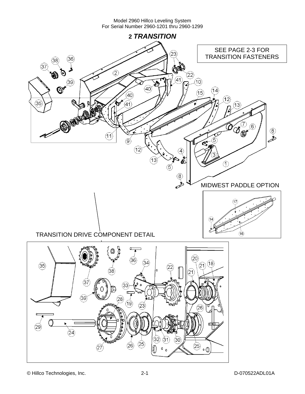

© Hillco Technologies, Inc. 2-1 2-1 D-070522ADL01A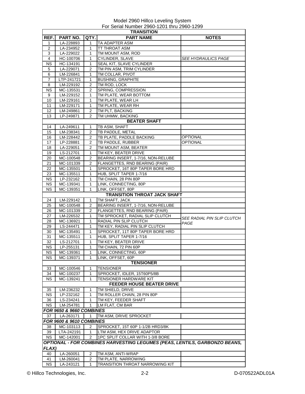| <b>TRANSITION</b> |                          |                |                                                                            |                                   |  |
|-------------------|--------------------------|----------------|----------------------------------------------------------------------------|-----------------------------------|--|
| REF.              | <b>PART NO.</b>          | QTY.           | <b>PART NAME</b>                                                           | <b>NOTES</b>                      |  |
| 1                 | LA-228893                | 1              | TA ADAPTER ASM                                                             |                                   |  |
| 2                 | LA-234952                | 1              | TT THROAT ASM                                                              |                                   |  |
| 3                 | LA-229022                | $\mathbf{1}$   | TM MOUNT ASM, ROD                                                          |                                   |  |
| 4                 | HC-100706                | 1              | CYLINDER, SLAVE                                                            | <i>SEE HYDRAULICS PAGE</i>        |  |
| ΝS                | HC-134191                | 1              | SEAL KIT, SLAVE CYLINDER                                                   |                                   |  |
| 5                 | LA-229071                | 2              | TM PIN ASM, TRIM CYLINDER                                                  |                                   |  |
| 6                 | LM-226841                | $\mathbf{1}$   | TM COLLAR, PIVOT                                                           |                                   |  |
| 7                 | LTP-241721               | 1              | <b>BUSHING, GRAPHITE</b>                                                   |                                   |  |
|                   |                          |                |                                                                            |                                   |  |
| 8                 | LM-229192                | 2              | TM ROD, LOCK                                                               |                                   |  |
| <b>NS</b>         | MC-135531                | 2              | SPRING, COMPRESSION                                                        |                                   |  |
| 9                 | LM-229152                | 1              | TM PLATE, WEAR BOTTOM                                                      |                                   |  |
| 10                | LM-229161                | 1              | TM PLATE, WEAR LH                                                          |                                   |  |
| 11                | LM-229171                | 1              | TM PLATE, WEAR RH                                                          |                                   |  |
| 12                | LM-249861                | 2              | TM PLT, BACKING                                                            |                                   |  |
| 13                | LP-249871                | 2              | TM UHMW, BACKING                                                           |                                   |  |
|                   |                          |                | <b>BEATER SHAFT</b>                                                        |                                   |  |
| 14                | LA-249611                | 1              | TB ASM, SHAFT                                                              |                                   |  |
| 15                | LM-238341                | 2              | TB PADDLE, METAL                                                           |                                   |  |
| 16                | LM-228442                | 2              | TB PLATE, PADDLE BACKING                                                   | <b>OPTIONAL</b>                   |  |
| 17                | LP-228881                | 2              | TB PADDLE, RUBBER                                                          | <b>OPTIONAL</b>                   |  |
| 18                | LA-229051                | 2              | TM MOUNT ASM, BEATER                                                       |                                   |  |
| 19                | LS-212701                | 1              | TM KEY, BEATER DRIVE                                                       |                                   |  |
|                   |                          |                |                                                                            |                                   |  |
| 20                | MC-100548                | 2              | BEARING INSERT, 1-7/16, NON-RELUBE                                         |                                   |  |
| 21                | MC-101339                | 2              | FLANGETTES, RND BEARING (PAIR)                                             |                                   |  |
| 22                | MC-135501                | 1              | SPROCKET, 16T 80P TAPER BORE HRD                                           |                                   |  |
| 23                | MC-135511                | 1              | HUB, SPLIT TAPER 1-7/16                                                    |                                   |  |
| <b>NS</b>         | LP-232162                | $\mathbf{1}$   | TM CHAIN, 28 PIN 80P                                                       |                                   |  |
| NS.               | MC-139341                | 1              | LINK, CONNECTING, 80P                                                      |                                   |  |
| <b>NS</b>         | MC-139351                | 1              | LINK, OFFSET, 80P                                                          |                                   |  |
|                   |                          |                | <b>TRANSITION THROAT JACK SHAFT</b>                                        |                                   |  |
| 24                | LM-229142                | 1              | TM SHAFT, JACK                                                             |                                   |  |
| 25                | MC-100548                | 2              | BEARING INSERT, 1-7/16, NON-RELUBE                                         |                                   |  |
| 26                | MC-101339                | $\overline{2}$ | FLANGETTES, RND BEARING (PAIR)                                             |                                   |  |
| 27                | LM-226532                | 1              | TM SPROCKET, RADIAL SLIP CLUTCH                                            |                                   |  |
| 28                |                          | 1              | RADIAL PIN SLIP CLUTCH                                                     | <i>SEE RADIAL PIN SLIP CLUTCH</i> |  |
|                   | MC-136921                |                |                                                                            | PAGE                              |  |
| 29                | LS-244471                | 1              | TM KEY, RADIAL PIN SLIP CLUTCH                                             |                                   |  |
| 30                | MC-135491                | 1              | SPROCKET, 11T 80P TAPER BORE HRD                                           |                                   |  |
| 31                | MC-135511                | 1              | HUB, SPLIT TAPER 1-7/16                                                    |                                   |  |
| 32                | LS-212701                | 1              | TM KEY, BEATER DRIVE                                                       |                                   |  |
| ΝS                | LP-255131                | 1              | TM CHAIN, 72 PIN 60P                                                       |                                   |  |
| <b>NS</b>         | MC-139361                | 1              | LINK. CONNECTING. 60P                                                      |                                   |  |
| ΝS                | MC-139371                | 1              | LINK, OFFSET, 60P                                                          |                                   |  |
|                   |                          |                | <b>TENSIONER</b>                                                           |                                   |  |
| 33                | MC-100546                | 1              | <b>TENSIONER</b>                                                           |                                   |  |
| 34                | MC-100237                | 1              | SPROCKET, IDLER, 15T60P5/8B                                                |                                   |  |
| <b>NS</b>         | MC-139241                | 1              | TENSIONER HARDWARE KIT                                                     |                                   |  |
|                   |                          |                | <b>FEEDER HOUSE BEATER DRIVE</b>                                           |                                   |  |
|                   |                          |                |                                                                            |                                   |  |
| 35                | LM-236232                | 1              | TM SHIELD, DRIVE                                                           |                                   |  |
| <b>NS</b>         | LP-232162                | 1              | TM ROLLER CHAIN, 28 PIN 80P                                                |                                   |  |
| 36                | LS-234241                | 1              | TM KEY, FEEDER SHAFT                                                       |                                   |  |
| <b>NS</b>         | LM-254781                | 1              | LM FLAT, CM BAR                                                            |                                   |  |
|                   | FOR 9650 & 9660 COMBINES |                |                                                                            |                                   |  |
| 37                | LA-263171                | 1              | TM ASM, DRIVE SPROCKET                                                     |                                   |  |
|                   | FOR 9600 & 9610 COMBINES |                |                                                                            |                                   |  |
| 38                | MC-103113                | 2              | SPROCKET, 15T 60P 1-1/2B HRD3/8K                                           |                                   |  |
| 39                | LTA-242191               | 1              | LTM ASM, HEX DRIVE ADAPTOR                                                 |                                   |  |
| <b>NS</b>         | MC-142001                | 2              | 1PC SPLIT COLLAR WITH 1-3/8 BORE                                           |                                   |  |
|                   |                          |                |                                                                            |                                   |  |
|                   |                          |                | OPTIONAL - FOR COMBINES HARVESTING LEGUMES (PEAS, LENTILS, GARBONZO BEANS, |                                   |  |
| <b>FLAX)</b>      |                          |                |                                                                            |                                   |  |
| 40                | LA-260051                | 2              | TM ASM, ANTI-WRAP                                                          |                                   |  |
| 41                | LM-260041                | 2              | TM PLATE, NARROWING                                                        |                                   |  |
| <b>NS</b>         | LA-243121                | 1              | TRANSITION THROAT NARROWING KIT                                            |                                   |  |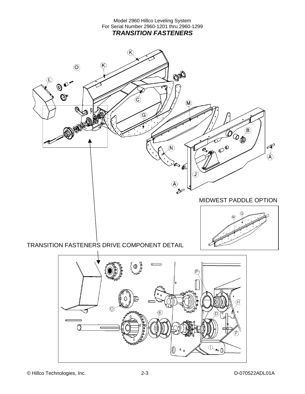Model 2960 Hillco Leveling System For Serial Number 2960-1201 thru 2960-1299 *TRANSITION FASTENERS* 

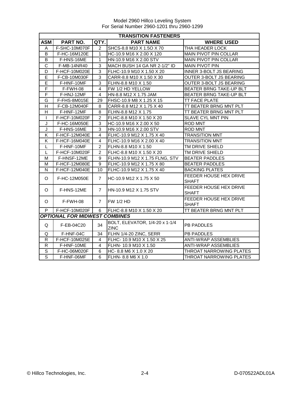|                       | <b>TRANSITION FASTENERS</b>          |                |                                               |                                               |  |  |  |
|-----------------------|--------------------------------------|----------------|-----------------------------------------------|-----------------------------------------------|--|--|--|
| <b>ASM</b>            | PART NO.                             | QTY.           | <b>PART NAME</b>                              | <b>WHERE USED</b>                             |  |  |  |
| A                     | F-SHC-10M070F                        | 2              | SHCS-8.8 M10 X 1.5O X 70                      | THA HEADER LOCK                               |  |  |  |
| B                     | F-HC-16M120E                         | 1              | HC-10.9 M16 X 2.00 X 120                      | <b>MAIN PIVOT PIN COLLAR</b>                  |  |  |  |
| $\overline{B}$        | F-HNS-16ME                           | 1              | HN-10.9 M16 X 2.00 STV                        | MAIN PIVOT PIN COLLAR                         |  |  |  |
| $\overline{\text{c}}$ | F-MB-14NR40                          | 3              | MACH BUSH 14 GA NR 2-1/2" ID                  | <b>MAIN PIVOT PIN</b>                         |  |  |  |
| D                     | F-HCF-10M020E                        | 3              | FLHC-10.9 M10 X 1.50 X 20                     | INNER 3-BOLT JS BEARING                       |  |  |  |
| E                     | F-CB-10M030F                         | 3              | CARR-8.8 M10 X 1.50 X 30                      | OUTER 3-BOLT JS BEARING                       |  |  |  |
| E                     | F-HNF-10MF                           | 3              | FLHN-8.8 M10 X 1.50                           | OUTER 3-BOLT JS BEARING                       |  |  |  |
| $\overline{F}$        | F-FWH-08                             | 4              | FW 1/2 HD YELLOW                              | BEATER BRNG TAKE-UP BLT                       |  |  |  |
| F                     | F-HNJ-12MF                           | 4              | HN-8.8 M12 X 1.75 JAM                         | <b>BEATER BRNG TAKE-UP BLT</b>                |  |  |  |
| G                     | F-FHS-8M015E                         | 29             | FHSC-10.9 M8 X 1.25 X 15                      | TT FACE PLATE                                 |  |  |  |
| Н                     | F-CB-12M040F                         | 8              | CARR-8.8 M12 X 1.75 X 40                      | TT BEATER BRNG MNT PLT                        |  |  |  |
| H                     | F-HNF-12MF                           | 8              | FLHN-8.8 M12 X 1.75                           | TT BEATER BRNG MNT PLT                        |  |  |  |
| $\mathbf{I}$          | F-HCF-10M020F                        | $\mathcal{P}$  | FLHC-8.8 M10 X 1.50 X 20                      | SLAVE CYL MNT PIN                             |  |  |  |
| J                     | F-HC-16M050E                         | 3              | HC-10.9 M16 X 2.00 X 50                       | <b>ROD MNT</b>                                |  |  |  |
| J                     | F-HNS-16ME                           | 3              | HN-10.9 M16 X 2.00 STV                        | ROD MNT                                       |  |  |  |
| Κ                     | F-HCF-12M040E                        | 4              | FLHC-10.9 M12 X 1.75 X 40                     | <b>TRANSITION MNT</b>                         |  |  |  |
| Κ                     | F-HCF-16M040E                        | $\overline{4}$ | FLHC-10.9 M16 X 2.00 X 40                     | <b>TRANSITION MNT</b>                         |  |  |  |
| L                     | F-HNF-10MF                           | $\overline{2}$ | FLHN-8.8 M10 X 1.50                           | TM DRIVE SHIELD                               |  |  |  |
| L                     | F-HCF-10M020F                        | $\overline{2}$ | FLHC-8.8 M10 X 1.50 X 20                      | TM DRIVE SHIELD                               |  |  |  |
| м                     | F-HNSF-12ME                          | 9              | FLHN-10.9 M12 X 1.75 FLNG, STV                | <b>BEATER PADDLES</b>                         |  |  |  |
| М                     | <b>F-HCF-12M080E</b>                 | 9              | FLHC-10.9 M12 X 1.75 X 80                     | <b>BEATER PADDLES</b>                         |  |  |  |
| N                     | F-HCF-12M040E                        | 10             | IFLHC-10.9 M12 X 1.75 X 40                    | <b>BACKING PLATES</b>                         |  |  |  |
| O                     | F-HC-12M050E                         | $\overline{7}$ | HC-10.9 M12 X 1.75 X 50                       | FEEDER HOUSE HEX DRIVE<br><b>SHAFT</b>        |  |  |  |
| O                     | F-HNS-12ME                           | $\overline{7}$ | <b>I</b> HN-10.9 M12 X 1.75 STV               | FEEDER HOUSE HEX DRIVE<br><b>SHAFT</b>        |  |  |  |
| O                     | F-FWH-08                             | $\overline{7}$ | <b>FW 1/2 HD</b>                              | <b>FEEDER HOUSE HEX DRIVE</b><br><b>SHAFT</b> |  |  |  |
| P                     | F-HCF-10M020F                        | 6              | FLHC-8.8 M10 X 1.50 X 20                      | TT BEATER BRNG MNT PLT                        |  |  |  |
|                       | <b>OPTIONAL FOR MIDWEST COMBINES</b> |                |                                               |                                               |  |  |  |
| Q                     | F-EB-04C20                           | 34             | BOLT, ELEVATOR, 1/4-20 x 1-1/4<br><b>ZINC</b> | <b>PB PADDLES</b>                             |  |  |  |
| Q                     | F-HNF-04C                            | 34             | FLHN 1/4-20 ZINC, SERR                        | <b>PB PADDLES</b>                             |  |  |  |
| R                     | F-HCF-10M025E                        | 4              | FLHC- 10.9 M10 X 1.50 X 25                    | <b>ANTI-WRAP ASSEMBLIES</b>                   |  |  |  |
| $\mathsf{R}$          | F-HNF-10ME                           | 4              | FLHN- 10.9 M10 X 1.50                         | <b>ANTI-WRAP ASSEMBLIES</b>                   |  |  |  |
| S                     | F-HC-06M020F                         | 6              | HC-8.8 M6 X 1.0 X 20                          | THROAT NARROWING PLATES                       |  |  |  |
| S                     | F-HNF-06MF                           | 6              | FLHN- 8.8 M6 X 1.0                            | THROAT NARROWING PLATES                       |  |  |  |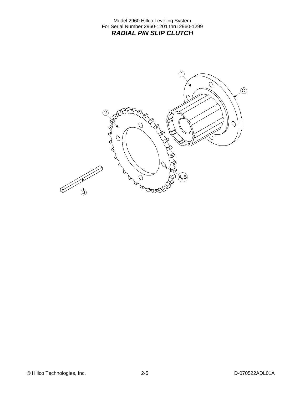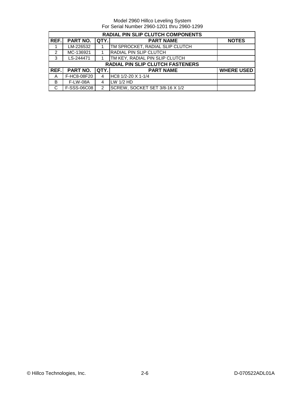|                | <b>RADIAL PIN SLIP CLUTCH COMPONENTS</b>                    |               |                                         |                   |  |  |
|----------------|-------------------------------------------------------------|---------------|-----------------------------------------|-------------------|--|--|
| REF.           | <b>PART NO.</b><br>QTY.<br><b>PART NAME</b><br><b>NOTES</b> |               |                                         |                   |  |  |
|                | LM-226532                                                   |               | TM SPROCKET, RADIAL SLIP CLUTCH         |                   |  |  |
| $\mathfrak{p}$ | MC-136921                                                   |               | RADIAL PIN SLIP CLUTCH                  |                   |  |  |
| 3              | LS-244471                                                   |               | TM KEY, RADIAL PIN SLIP CLUTCH          |                   |  |  |
|                |                                                             |               | <b>RADIAL PIN SLIP CLUTCH FASTENERS</b> |                   |  |  |
| REF.           | <b>PART NO.</b>                                             | QTY.          | <b>PART NAME</b>                        | <b>WHERE USED</b> |  |  |
| A              | F-HC8-08F20                                                 | 4             | $HC8$ 1/2-20 X 1-1/4                    |                   |  |  |
| B              | <b>F-LW-08A</b>                                             | 4             | $LW$ 1/2 HD                             |                   |  |  |
| C              | F-SSS-06C08                                                 | $\mathcal{P}$ | SCREW, SOCKET SET 3/8-16 X 1/2          |                   |  |  |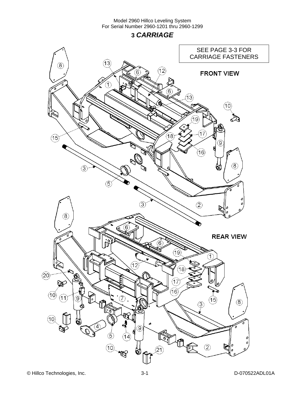**3** *CARRIAGE* 

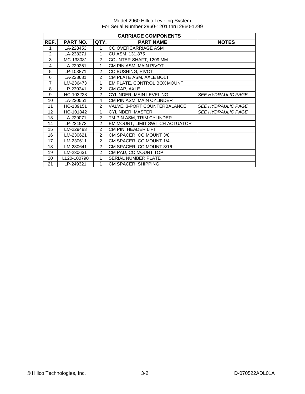| <b>CARRIAGE COMPONENTS</b> |             |                |                                 |                           |  |
|----------------------------|-------------|----------------|---------------------------------|---------------------------|--|
| REF.                       | PART NO.    | QTY.           | <b>PART NAME</b>                | <b>NOTES</b>              |  |
| 1                          | LA-228453   | 1              | CO OVERCARRIAGE ASM             |                           |  |
| 2                          | LA-238271   | 1              | CU ASM, 131.875                 |                           |  |
| 3                          | MC-133081   | 2              | COUNTER SHAFT, 1209 MM          |                           |  |
| 4                          | LA-229251   | 1              | CM PIN ASM, MAIN PIVOT          |                           |  |
| 5                          | LP-103871   | 2              | CO BUSHING, PIVOT               |                           |  |
| 6                          | LA-228681   | $\overline{2}$ | CM PLATE ASM, AXLE BOLT         |                           |  |
| $\overline{7}$             | LM-236473   | 1              | EM PLATE, CONTROL BOX MOUNT     |                           |  |
| 8                          | LP-230241   | 2              | CM CAP, AXLE                    |                           |  |
| 9                          | HC-103228   | $\mathfrak{p}$ | CYLINDER, MAIN LEVELING         | <i>SEE HYDRAULIC PAGE</i> |  |
| 10                         | LA-230551   | 4              | CM PIN ASM, MAIN CYLINDER       |                           |  |
| 11                         | HC-139151   | $\mathfrak{p}$ | VALVE, 3-PORT COUNTERBALANCE    | <b>SEE HYDRAULIC PAGE</b> |  |
| 12                         | HC-101842   | 1              | CYLINDER, MASTER                | <b>SEE HYDRAULIC PAGE</b> |  |
| 13                         | LA-229071   | 2              | TM PIN ASM, TRIM CYLINDER       |                           |  |
| 14                         | LP-234572   | 2              | EM MOUNT, LIMIT SWITCH ACTUATOR |                           |  |
| 15                         | LM-229483   | 2              | CM PIN, HEADER LIFT             |                           |  |
| 16                         | LM-230621   | $\overline{2}$ | CM SPACER, CO MOUNT 3/8         |                           |  |
| 17                         | LM-230611   | $\overline{2}$ | CM SPACER, CO MOUNT 1/4         |                           |  |
| 18                         | LM-230641   | 2              | CM SPACER, CO MOUNT 3/16        |                           |  |
| 19                         | LM-230631   | 2              | CM PAD, CO MOUNT TOP            |                           |  |
| 20                         | LL20-100790 | 1              | SERIAL NUMBER PLATE             |                           |  |
| 21                         | LP-249321   | 1              | <b>CM SPACER, SHIPPING</b>      |                           |  |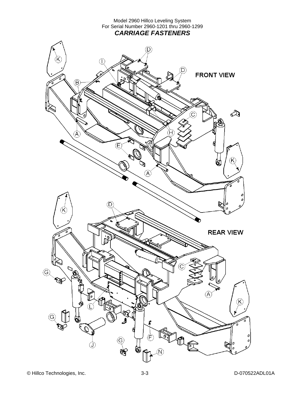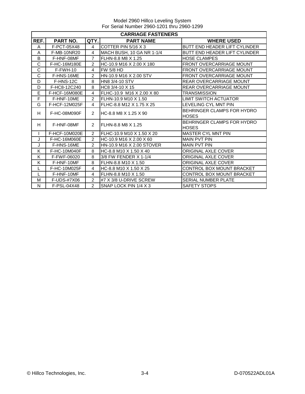|              | <b>CARRIAGE FASTENERS</b> |                |                            |                                            |  |  |
|--------------|---------------------------|----------------|----------------------------|--------------------------------------------|--|--|
| REF.         | PART NO.                  | QTY.           | <b>PART NAME</b>           | <b>WHERE USED</b>                          |  |  |
| A            | F-PCT-05X48               | $\overline{4}$ | <b>COTTER PIN 5/16 X 3</b> | BUTT END HEADER LIFT CYLINDER              |  |  |
| A            | F-MB-10NR20               | 4              | MACH BUSH, 10 GA NR 1-1/4  | <b>BUTT END HEADER LIFT CYLINDER</b>       |  |  |
| B            | F-HNF-08MF                | $\overline{7}$ | FLHN-8.8 M8 X 1.25         | <b>HOSE CLAMPES</b>                        |  |  |
| C            | F-HC-16M180E              | $\mathfrak{p}$ | HC-10.9 M16 X 2.00 X 180   | FRONT OVERCARRIAGE MOUNT                   |  |  |
| C            | $F-FWH-10$                | 4              | <b>FW 5/8 HD</b>           | <b>FRONT OVERCARRIAGE MOUNT</b>            |  |  |
| C            | F-HNS-16ME                | $\overline{2}$ | HN-10.9 M16 X 2.00 STV     | <b>FRONT OVERCARRIAGE MOUNT</b>            |  |  |
| D            | F-HNS-12C                 | 8              | <b>HN8 3/4-10 STV</b>      | <b>REAR OVERCARRIAGE MOUNT</b>             |  |  |
| D            | F-HC8-12C240              | 8              | HC8 3/4-10 X 15            | <b>REAR OVERCARRIAGE MOUNT</b>             |  |  |
| E            | <b>F-HCF-16M080E</b>      | 4              | IFLHC-10.9 M16 X 2.00 X 80 | TRANSMISSION                               |  |  |
| F            | F-HNF-10ME                | $\overline{2}$ | FLHN-10.9 M10 X 1.50       | <b>LIMIT SWITCH ACTUATOR</b>               |  |  |
| G            | F-HCF-12M025F             | 4              | FLHC-8.8 M12 X 1.75 X 25   | <b>LEVELING CYL MNT PIN</b>                |  |  |
| H            | F-HC-08M090F              | $\mathcal{P}$  | IHC-8.8 M8 X 1.25 X 90     | BEHRINGER CLAMPS FOR HYDRO<br><b>HOSES</b> |  |  |
| H            | F-HNF-08MF                | $\mathcal{P}$  | FLHN-8.8 M8 X 1.25         | BEHRINGER CLAMPS FOR HYDRO<br><b>HOSES</b> |  |  |
| $\mathsf{I}$ | F-HCF-10M020E             | $\overline{2}$ | IFLHC-10.9 M10 X 1.50 X 20 | <b>MASTER CYL MNT PIN</b>                  |  |  |
| J            | F-HC-16M060E              | $\overline{2}$ | HC-10.9 M16 X 2.00 X 60    | <b>MAIN PVT PIN</b>                        |  |  |
| J            | F-HNS-16ME                | $\overline{2}$ | HN-10.9 M16 X 2.00 STOVER  | <b>MAIN PVT PIN</b>                        |  |  |
| K            | F-HC-10M040F              | 8              | HC-8.8 M10 X 1.50 X 40     | ORIGINAL AXLE COVER                        |  |  |
| K            | F-FWF-06020               | 8              | 3/8 FW FENDER X 1-1/4      | ORIGINAL AXLE COVER                        |  |  |
| K            | F-HNF-10MF                | 8              | FLHN-8.8 M10 X 1.50        | <b>ORIGINAL AXLE COVER</b>                 |  |  |
| L            | F-HC-10M025F              | 4              | HC-8.8 M10 X 1.50 X 25     | CONTROL BOX MOUNT BRACKET                  |  |  |
|              | F-HNF-10MF                | 4              | FLHN-8.8 M10 X 1.50        | CONTROL BOX MOUNT BRACKET                  |  |  |
| M            | F-UDS-#7X06               | $\overline{2}$ | #7 X 3/8 U-DRIVE SCREW     | <b>SERIAL NUMBER PLATE</b>                 |  |  |
| N            | F-PSL-04X48               | $\mathcal{P}$  | SNAP LOCK PIN 1/4 X 3      | <b>SAFETY STOPS</b>                        |  |  |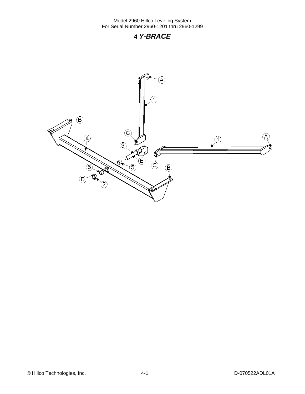## **4** *Y-BRACE*



© Hillco Technologies, Inc. 4-1 4-1 D-070522ADL01A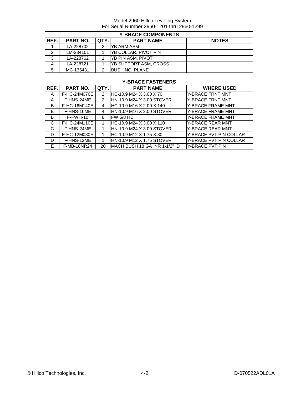|                | <b>Y-BRACE COMPONENTS</b> |               |                              |                               |  |  |
|----------------|---------------------------|---------------|------------------------------|-------------------------------|--|--|
| REF.           | <b>PART NO.</b>           | QTY.          | <b>PART NAME</b>             | <b>NOTES</b>                  |  |  |
|                | LA-228702                 | 2             | YB ARM ASM                   |                               |  |  |
| $\overline{2}$ | LM-234101                 | 1             | YB COLLAR, PIVOT PIN         |                               |  |  |
| 3              | LA-228762                 | 1             | YB PIN ASM, PIVOT            |                               |  |  |
| 4              | LA-228721                 | 1             | YB SUPPORT ASM, CROSS        |                               |  |  |
| 5              | MC-135431                 | 2             | <b>BUSHING, PLANE</b>        |                               |  |  |
|                |                           |               |                              |                               |  |  |
|                |                           |               | <b>Y-BRACE FASTENERS</b>     |                               |  |  |
| REF.           | <b>PART NO.</b>           | QTY.          | <b>PART NAME</b>             | <b>WHERE USED</b>             |  |  |
| A              | F-HC-24M070E              | $\mathcal{P}$ | HC-10.9 M24 X 3.00 X 70      | Y-BRACE FRNT MNT              |  |  |
| A              | F-HNS-24ME                | 2             | HN-10.9 M24 X 3.00 STOVER    | <b>Y-BRACE FRNT MNT</b>       |  |  |
| B              | F-HC-16M140E              | 4             | HC-10.9 M16 X 2.00 X 140     | <b>Y-BRACE FRAME MNT</b>      |  |  |
| B              | F-HNS-16ME                | 4             | HN-10.9 M16 X 2.00 STOVER    | <b>Y-BRACE FRAME MNT</b>      |  |  |
| B              | F-FWH-10                  | 8             | <b>FW 5/8 HD</b>             | Y-BRACE FRAME MNT             |  |  |
| C              | F-HC-24M110E              | 1             | HC-10.9 M24 X 3.00 X 110     | Y-BRACE REAR MNT              |  |  |
| C              | F-HNS-24ME                | 1             | HN-10.9 M24 X 3.00 STOVER    | <b>Y-BRACE REAR MNT</b>       |  |  |
| D              | F-HC-12M080E              | 1             | HC-10.9 M12 X 1.75 X 80      | Y-BRACE PVT PIN COLLAR        |  |  |
| D              | F-HNS-12ME                | 1             | HN-10.9 M12 X 1.75 STOVER    | <b>Y-BRACE PVT PIN COLLAR</b> |  |  |
| E              | <b>F-MB-18NR24</b>        | 20            | MACH BUSH 18 GA NR 1-1/2" ID | Y-BRACE PVT PIN               |  |  |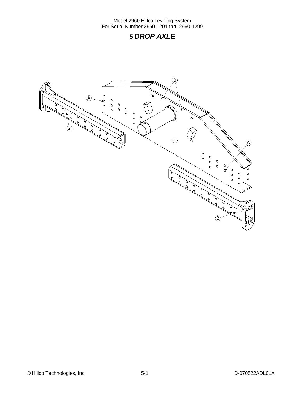## **5** *DROP AXLE*

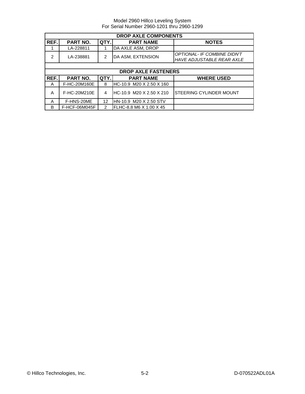| <b>DROP AXLE COMPONENTS</b> |                 |               |                            |                                                                        |  |
|-----------------------------|-----------------|---------------|----------------------------|------------------------------------------------------------------------|--|
| REF.                        | <b>PART NO.</b> | QTY.          | <b>PART NAME</b>           | <b>NOTES</b>                                                           |  |
|                             | LA-228811       |               | DA AXLE ASM, DROP          |                                                                        |  |
| $\mathcal{P}$               | LA-238881       | $\mathcal{P}$ | DA ASM, EXTENSION          | <b>OPTIONAL- IF COMBINE DIDN'T</b><br><b>HAVE ADJUSTABLE REAR AXLE</b> |  |
|                             |                 |               |                            |                                                                        |  |
|                             |                 |               | <b>DROP AXLE FASTENERS</b> |                                                                        |  |
| REF.                        | PART NO.        | QTY.          | <b>PART NAME</b>           | <b>WHERE USED</b>                                                      |  |
| A                           | F-HC-20M160E    | 8             | HC-10.9 M20 X 2.50 X 160   |                                                                        |  |
| A                           | F-HC-20M210E    | 4             | HC-10.9 M20 X 2.50 X 210   | STEERING CYLINDER MOUNT                                                |  |
| A                           | F-HNS-20ME      | 12            | HN-10.9 M20 X 2.50 STV     |                                                                        |  |
| B                           | F-HCF-06M045F   | 2             | FLHC-8.8 M6 X 1.00 X 45    |                                                                        |  |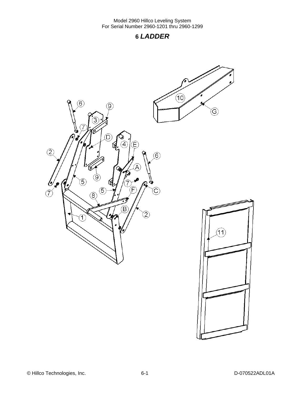# **6** *LADDER*

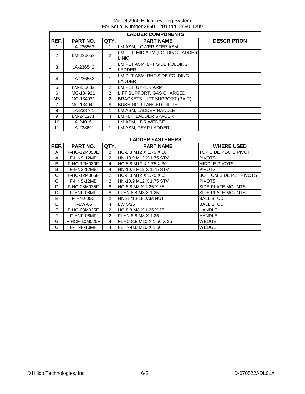|                | <b>LADDER COMPONENTS</b> |                |                                      |                        |  |  |
|----------------|--------------------------|----------------|--------------------------------------|------------------------|--|--|
| REF.           | PART NO.                 | QTY.           | <b>PART NAME</b>                     | <b>DESCRIPTION</b>     |  |  |
| 1              | LA-236563                | 1              | LM ASM, LOWER STEP ASM               |                        |  |  |
| $\overline{2}$ | LM-236053                | $\overline{2}$ | LM PLT, MID ARM (FOLDING LADDER      |                        |  |  |
|                |                          |                | LINK)                                |                        |  |  |
| 3              | LA-236542                | $\mathbf{1}$   | LM PLT ASM, LFT SIDE FOLDING         |                        |  |  |
|                |                          |                | <b>LADDER</b>                        |                        |  |  |
| 4              | LA-236552                | $\mathbf{1}$   | LM PLT ASM, RHT SIDE FOLDING         |                        |  |  |
|                |                          |                | <b>LADDER</b>                        |                        |  |  |
| 5              | LM-236632                | 2              | LM PLT, UPPER ARM                    |                        |  |  |
| 6              | MC-134921                | 2              | <b>I</b> LIFT SUPPORT. GAS CHARGED   |                        |  |  |
| <b>NS</b>      | MC-134931                | $\overline{2}$ | <b>BRACKETS, LIFT SUPPORT (PAIR)</b> |                        |  |  |
| $\overline{7}$ | MC-134941                | 8              | <b>BUSHING, FLANGED OILITE</b>       |                        |  |  |
| 8              | LA-238761                | 1              | LM ASM. LADDER HANDLE                |                        |  |  |
| 9              | LM-241271                | 4              | LM FLT, LADDER SPACER                |                        |  |  |
| 10             | LA-240161                | 1              | LM ASM, LDR WEDGE                    |                        |  |  |
| 11             | LA-238691                | 1              | LM ASM, REAR LADDER                  |                        |  |  |
|                |                          |                |                                      |                        |  |  |
|                |                          |                | <b>LADDER FASTENERS</b>              |                        |  |  |
| REF.           | PART NO.                 | QTY.           | <b>PART NAME</b>                     | <b>WHERE USED</b>      |  |  |
| A              | F-HC-12M050E             | $\overline{2}$ | HC-8.8 M12 X 1.75 X 50               | TOP SIDE PLATE PIVOT   |  |  |
| Α              | F-HNS-12ME               | 2              | HN-10.9 M12 X 1.75 STV               | <b>PIVOTS</b>          |  |  |
| B              | F-HC-12M030F             | $\overline{4}$ | HC-8.8 M12 X 1.75 X 30               | <b>MIDDLE PIVOTS</b>   |  |  |
| B              | F-HNS-12ME               | $\overline{4}$ | HN-10.9 M12 X 1.75 STV               | <b>PIVOTS</b>          |  |  |
| $\mathsf{C}$   | F-HC-12M065F             | $\mathfrak{p}$ | HC-8.8 M12 X 1.75 X 65               | BOTTOM SIDE PLT PIVOTS |  |  |
| $\mathsf C$    | F-HNS-12ME               | $\overline{2}$ | HN-10.9 M12 X 1.75 STV               | <b>PIVOTS</b>          |  |  |
| D              | F-HC-08M035F             | 8              | HC-8.8 M8 X 1.25 X 35                | SIDE PLATE MOUNTS      |  |  |
| D              | F-HNF-08MF               | 8              | FLHN 8.8 M8 X 1.25                   | SIDE PLATE MOUNTS      |  |  |
| E              | F-HNJ-05C                | $\overline{2}$ | HN5 5/16-18 JAM NUT                  | <b>BALL STUD</b>       |  |  |
| E              | F-LW-05                  | 4              | LW 5/16                              | <b>BALL STUD</b>       |  |  |
| F              | F-HC-08M025F             | 2              | HC-8.8 M8 X 1.25 X 25                | <b>HANDLE</b>          |  |  |
| $\overline{F}$ | F-HNF-08MF               | $\overline{2}$ | FLHN 8.8 M8 X 1.25                   | <b>HANDLE</b>          |  |  |
| G              | F-HCF-10M025F            | 4              | FLHC-8.8 M10 X 1.50 X 25             | <b>WEDGE</b>           |  |  |
| G              | F-HNF-10MF               | 4              | FLHN-8.8 M10 X 1.50                  | <b>WEDGE</b>           |  |  |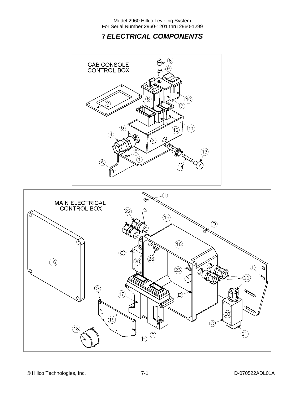# **7** *ELECTRICAL COMPONENTS*



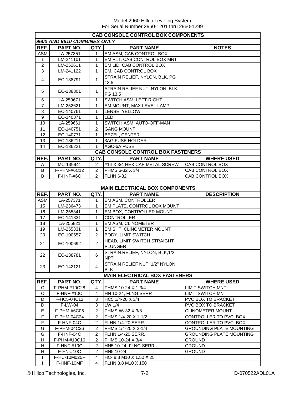| <b>CAB CONSOLE CONTROL BOX COMPONENTS</b> |                             |                |                                               |                                 |  |  |  |
|-------------------------------------------|-----------------------------|----------------|-----------------------------------------------|---------------------------------|--|--|--|
|                                           | 9600 AND 9610 COMBINES ONLY |                |                                               |                                 |  |  |  |
| REF.                                      | PART NO.                    | QTY.           | <b>PART NAME</b>                              | <b>NOTES</b>                    |  |  |  |
| <b>ASM</b>                                | LA-257351                   | 1              | EM ASM, CAB CONTROL BOX                       |                                 |  |  |  |
| 1                                         | LM-241101                   | 1              | EM PLT, CAB CONTROL BOX MNT                   |                                 |  |  |  |
| $\overline{2}$                            | LM-252611                   | 1              | EM LID, CAB CONTROL BOX                       |                                 |  |  |  |
| 3                                         | LM-241122                   | 1              | EM, CAB CONTROL BOX                           |                                 |  |  |  |
| 4                                         | EC-138791                   | $\mathbf{1}$   | STRAIN RELIEF, NYLON, BLK, PG<br>13.5         |                                 |  |  |  |
| 5                                         | EC-138801                   | 1              | STRAIN RELIEF NUT, NYLON, BLK,                |                                 |  |  |  |
| 6                                         | LA-259671                   | $\mathbf{1}$   | PG 13.5<br>SWITCH ASM, LEFT-RIGHT             |                                 |  |  |  |
| $\overline{7}$                            | LM-252621                   | $\mathbf{1}$   | EM MOUNT, MAX LEVEL LAMP                      |                                 |  |  |  |
| 8                                         | EC-140761                   | 1              | LENSE, YELLOW                                 |                                 |  |  |  |
| $\boldsymbol{9}$                          | EC-140871                   | 1              | <b>LED</b>                                    |                                 |  |  |  |
| 10                                        | LA-259661                   | $\mathbf{1}$   | SWITCH ASM, AUTO-OFF-MAN                      |                                 |  |  |  |
| 11                                        | EC-140751                   | $\overline{c}$ | <b>GANG MOUNT</b>                             |                                 |  |  |  |
| 12                                        | EC-140771                   | 1              | BEZEL, CENTER                                 |                                 |  |  |  |
| 13                                        | EC-136211                   | 1              | <b>3AG FUSE HOLDER</b>                        |                                 |  |  |  |
| 14                                        | EC-136221                   | 1              | <b>AGC-6A FUSE</b>                            |                                 |  |  |  |
|                                           |                             |                | <b>CAB CONSOLE CONTROL BOX FASTENERS</b>      |                                 |  |  |  |
| REF.                                      | PART NO.                    | QTY.           | <b>PART NAME</b>                              | <b>WHERE USED</b>               |  |  |  |
|                                           | MC-139941                   | 2              | #14 X 3/4 HEX CAP METAL SCREW                 | CAB CONTROL BOX                 |  |  |  |
| Α<br>B                                    | F-PHM-#6C12                 | 2              | PHMS 6-32 X 3/4                               | CAB CONTROL BOX                 |  |  |  |
| B                                         |                             | 2              | <b>FLHN 6-32</b>                              |                                 |  |  |  |
|                                           | F-HNF-#6C                   |                |                                               | CAB CONTROL BOX                 |  |  |  |
|                                           |                             |                |                                               |                                 |  |  |  |
|                                           |                             |                | <b>MAIN ELECTRICAL BOX COMPONENTS</b>         |                                 |  |  |  |
| REF.                                      | PART NO.                    | QTY.           | <b>PART NAME</b>                              | <b>DESCRIPTION</b>              |  |  |  |
| <b>ASM</b>                                | LA-257371                   | 1              | EM ASM, CONTROLLER                            |                                 |  |  |  |
| 15                                        | LM-236473                   | 1              | EM PLATE, CONTROL BOX MOUNT                   |                                 |  |  |  |
| 16                                        | LM-255341                   | 1              | EM BOX, CONTROLLER MOUNT                      |                                 |  |  |  |
| 17                                        | EC-141831                   | 1              | <b>CONTROLLER</b>                             |                                 |  |  |  |
| 18<br>19                                  | LA-255821<br>LM-255331      | 1<br>1         | EM ASM, CLINOMETER                            |                                 |  |  |  |
|                                           |                             | 2              | EM SHT, CLINOMETER MOUNT                      |                                 |  |  |  |
| 20                                        | EC-100557                   |                | <b>BODY, LIMIT SWITCH</b>                     |                                 |  |  |  |
| 21                                        | EC-100692                   | $\overline{2}$ | HEAD, LIMIT SWITCH STRAIGHT<br><b>PLUNGER</b> |                                 |  |  |  |
| 22                                        | EC-138781                   | 6              | STRAIN RELIEF, NYLON, BLK, 1/2<br><b>NPT</b>  |                                 |  |  |  |
| 23                                        | EC-142121                   | $\overline{4}$ | STRAIN RELIEF NUT, 1/2" NYLON,<br><b>BLK</b>  |                                 |  |  |  |
|                                           |                             |                |                                               |                                 |  |  |  |
|                                           |                             |                | <b>MAIN ELECTRICAL BOX FASTENERS</b>          |                                 |  |  |  |
| REF.                                      | PART NO.                    | QTY.           | <b>PART NAME</b>                              | <b>WHERE USED</b>               |  |  |  |
| С                                         | F-PHM-#10C28                | 4              | PHMS 10-24 X 1-3/4                            | <b>LIMIT SWITCH MNT</b>         |  |  |  |
| C                                         | F-HNF-#10C                  | $\overline{4}$ | HN 10-24, FLNG SERR                           | <b>LIMIT SWITCH MNT</b>         |  |  |  |
| D                                         | F-HC5-04C12                 | 3              | HC5 1/4-20 X 3/4                              | PVC BOX TO BRACKET              |  |  |  |
| D                                         | F-LW-04                     | 3              | LW 1/4                                        | PVC BOX TO BRACKET              |  |  |  |
| Е                                         | F-PHM-#6C06                 | $\overline{c}$ | PHMS #6-32 X 3/8                              | <b>CLINOMETER MOUNT</b>         |  |  |  |
| F                                         | F-PHM-04C24                 | 2              | PHMS 1/4-20 X 1-1/2                           | CONTROLLER TO PVC BOX           |  |  |  |
| F                                         | F-HNF-04C                   | 2              | <b>FLHN 1/4-20 SERR.</b>                      | CONTROLLER TO PVC BOX           |  |  |  |
| G                                         | F-PHM-04C36                 | 2              | PHMS 1/4-20 X 2-1/4                           | <b>GROUNDING PLATE MOUNTING</b> |  |  |  |
| G                                         | F-HNF-04C                   | $\overline{c}$ | <b>FLHN 1/4-20 SERR.</b>                      | <b>GROUNDING PLATE MOUNTING</b> |  |  |  |
| н                                         | F-PHM-#10C16                | $\overline{c}$ | PHMS 10-24 X 3/4                              | <b>GROUND</b>                   |  |  |  |
| H                                         | <b>F-HNF-#10C</b>           | 2              | HN5 10-24, FLNG SERR                          | <b>GROUND</b>                   |  |  |  |
| H                                         | F-HN-#10C                   | $\overline{2}$ | HN5 10-24                                     | <b>GROUND</b>                   |  |  |  |
| $\mathbf{I}$                              | F-HC-10M025F                | 4              | HC-8.8 M10 X 1.50 X 25                        |                                 |  |  |  |
|                                           | F-HNF-10MF                  | 4              | FLHN 8.8 M10 X 150                            |                                 |  |  |  |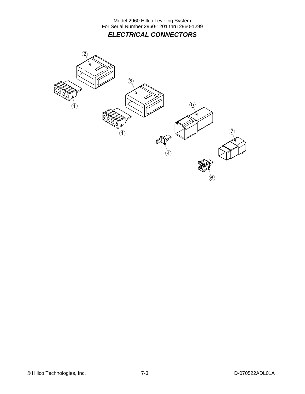Model 2960 Hillco Leveling System For Serial Number 2960-1201 thru 2960-1299 *ELECTRICAL CONNECTORS* 

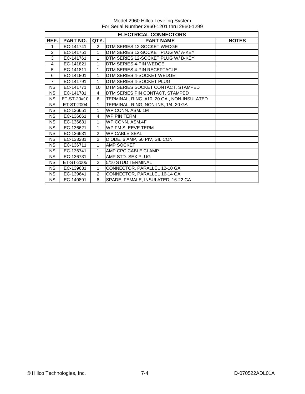|                | <b>ELECTRICAL CONNECTORS</b> |                |                                            |              |  |  |
|----------------|------------------------------|----------------|--------------------------------------------|--------------|--|--|
| REF.           | PART NO.                     | QTY.           | <b>PART NAME</b>                           | <b>NOTES</b> |  |  |
| 1              | EC-141741                    | $\overline{2}$ | DTM SERIES 12-SOCKET WEDGE                 |              |  |  |
| 2              | EC-141751                    | $\mathbf{1}$   | DTM SERIES 12-SOCKET PLUG W/ A-KEY         |              |  |  |
| 3              | EC-141761                    | 1              | DTM SERIES 12-SOCKET PLUG W/ B-KEY         |              |  |  |
| 4              | EC-141821                    | 1              | DTM SERIES 4-PIN WEDGE                     |              |  |  |
| 5              | EC-141811                    | 1              | DTM SERIES 4-PIN RECEPTACLE                |              |  |  |
| 6              | EC-141801                    | 1              | DTM SERIES 4-SOCKET WEDGE                  |              |  |  |
| $\overline{7}$ | EC-141791                    | $\mathbf{1}$   | DTM SERIES 4-SOCKET PLUG                   |              |  |  |
| <b>NS</b>      | EC-141771                    | 10             | DTM SERIES SOCKET CONTACT, STAMPED         |              |  |  |
| <b>NS</b>      | EC-141781                    | 4              | DTM SERIES PIN CONTACT, STAMPED            |              |  |  |
| <b>NS</b>      | ET-ST-20#10                  | 6              | TERMINAL, RING, #10, 20 GA., NON-INSULATED |              |  |  |
| <b>NS</b>      | ET-ST-2004                   | $\mathbf{1}$   | TERMINAL, RING, NON-INS, 1/4, 20 GA        |              |  |  |
| <b>NS</b>      | EC-136651                    | $\mathbf{1}$   | WP CONN. ASM. 1M                           |              |  |  |
| <b>NS</b>      | EC-136661                    | $\overline{4}$ | <b>WP PIN TERM</b>                         |              |  |  |
| <b>NS</b>      | EC-136681                    | $\mathbf{1}$   | WP CONN, ASM.4F                            |              |  |  |
| <b>NS</b>      | EC-136621                    | $\mathbf 1$    | WP FM SLEEVE TERM                          |              |  |  |
| <b>NS</b>      | EC-136631                    | 2              | <b>WP CABLE SEAL</b>                       |              |  |  |
| <b>NS</b>      | EC-133281                    | 2              | DIODE, 6 AMP, 50 PIV, SILICON              |              |  |  |
| <b>NS</b>      | EC-136711                    | $\mathbf{1}$   | AMP SOCKET                                 |              |  |  |
| <b>NS</b>      | EC-136741                    | $\mathbf{1}$   | AMP CPC CABLE CLAMP                        |              |  |  |
| <b>NS</b>      | EC-136731                    | 1              | AMP STD. SEX PLUG                          |              |  |  |
| <b>NS</b>      | ET-ST-2005                   | 2              | 5/16 STUD TERMINAL                         |              |  |  |
| <b>NS</b>      | EC-139631                    | 1              | CONNECTOR, PARALLEL 12-10 GA               |              |  |  |
| <b>NS</b>      | EC-139641                    | 2              | CONNECTOR, PARALLEL 16-14 GA               |              |  |  |
| <b>NS</b>      | EC-140891                    | 8              | SPADE, FEMALE, INSULATED, 16-22 GA         |              |  |  |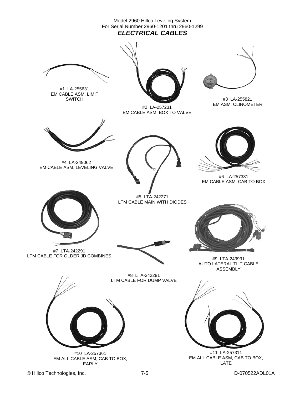Model 2960 Hillco Leveling System For Serial Number 2960-1201 thru 2960-1299 *ELECTRICAL CABLES* 



#1 LA-255631 EM CABLE ASM, LIMIT **SWITCH** 



#2 LA-257231 EM CABLE ASM, BOX TO VALVE



#3 LA-255821 EM ASM, CLINOMETER



#4 LA-249062 EM CABLE ASM, LEVELING VALVE



#5 LTA-242271 LTM CABLE MAIN WITH DIODES



#6 LA-257331 EM CABLE ASM, CAB TO BOX



#7 LTA-242291





AUTO LATERAL TILT CABLE ASSEMBLY



#11 LA-257311 EM ALL CABLE ASM, CAB TO BOX, LATE





#10 LA-257361 EM ALL CABLE ASM, CAB TO BOX, EARLY

© Hillco Technologies, Inc. 2008 7-5 2009 7-5 D-070522ADL01A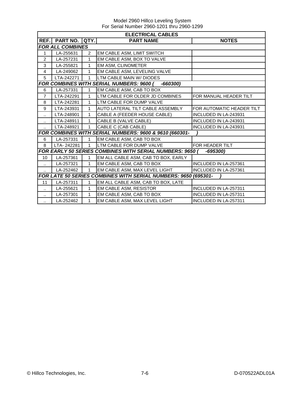Model 2960 Hillco Leveling System For Serial Number 2960-1201 thru 2960-1299

|                      | <b>ELECTRICAL CABLES</b> |              |                                                                 |                              |  |  |  |
|----------------------|--------------------------|--------------|-----------------------------------------------------------------|------------------------------|--|--|--|
| REF.I                | PART NO.                 | QTY.         | <b>PART NAME</b>                                                | <b>NOTES</b>                 |  |  |  |
|                      | <b>FOR ALL COMBINES</b>  |              |                                                                 |                              |  |  |  |
| 1                    | LA-255631                | 2            | EM CABLE ASM, LIMIT SWITCH                                      |                              |  |  |  |
| 2                    | LA-257231                | 1            | EM CABLE ASM, BOX TO VALVE                                      |                              |  |  |  |
| 3                    | LA-255821                | 1            | EM ASM, CLINOMETER                                              |                              |  |  |  |
| $\overline{4}$       | LA-249062                | 1            | EM CABLE ASM, LEVELING VALVE                                    |                              |  |  |  |
| 5                    | LTA-242271               | 1            | LTM CABLE MAIN W/ DIODES                                        |                              |  |  |  |
|                      |                          |              | <b>FOR COMBINES WITH SERIAL NUMBERS: 9600 (</b><br>$-660300$    |                              |  |  |  |
| 6                    | LA-257331                | 1            | EM CABLE ASM, CAB TO BOX                                        |                              |  |  |  |
| $\overline{7}$       | LTA-242291               | 1            | LTM CABLE FOR OLDER JD COMBINES                                 | FOR MANUAL HEADER TILT       |  |  |  |
| 8                    | LTA-242281               | 1            | LTM CABLE FOR DUMP VALVE                                        |                              |  |  |  |
| 9                    | LTA-243931               | 1            | AUTO LATERAL TILT CABLE ASSEMBLY                                | FOR AUTOMATIC HEADER TILT    |  |  |  |
|                      | LTA-248901               | 1            | CABLE A (FEEDER HOUSE CABLE)                                    | INCLUDED IN LA-243931        |  |  |  |
| $\ldots$             | LTA-248911               | 1            | CABLE B (VALVE CABLE)                                           | <b>INCLUDED IN LA-243931</b> |  |  |  |
|                      | LTA-248921               | 1            | CABLE C (CAB CABLE)                                             | INCLUDED IN LA-243931        |  |  |  |
|                      |                          |              | FOR COMBINES WITH SERIAL NUMBERS: 9600 & 9610 (660301-          |                              |  |  |  |
| 6                    | LA-257331                | 1            | EM CABLE ASM, CAB TO BOX                                        |                              |  |  |  |
| 8                    | LTA-242281               | $\mathbf{1}$ | LTM CABLE FOR DUMP VALVE                                        | FOR HEADER TILT              |  |  |  |
|                      |                          |              | <b>FOR EARLY 50 SERIES COMBINES WITH SERIAL NUMBERS: 9650 (</b> | -695300)                     |  |  |  |
| 10                   | LA-257361                | 1            | EM ALL CABLE ASM, CAB TO BOX, EARLY                             |                              |  |  |  |
|                      | LA-257321                | $\mathbf{1}$ | EM CABLE ASM, CAB TO BOX                                        | INCLUDED IN LA-257361        |  |  |  |
|                      | LA-252462                | 1            | EM CABLE ASM, MAX LEVEL LIGHT                                   | INCLUDED IN LA-257361        |  |  |  |
|                      |                          |              | FOR LATE 50 SERIES COMBINES WITH SERIAL NUMBERS: 9650 (695301-  |                              |  |  |  |
| 11                   | LA-257311                | 1            | EM ALL CABLE ASM, CAB TO BOX, LATE                              |                              |  |  |  |
| $\ldots$             | LA-255621                | 1            | EM CABLE ASM, RESISTOR                                          | INCLUDED IN LA-257311        |  |  |  |
| $\ddot{\phantom{1}}$ | LA-257301                | 1            | EM CABLE ASM, CAB TO BOX                                        | <b>INCLUDED IN LA-257311</b> |  |  |  |
|                      | LA-252462                | 1            | EM CABLE ASM, MAX LEVEL LIGHT                                   | <b>INCLUDED IN LA-257311</b> |  |  |  |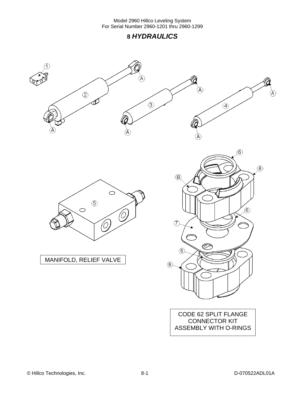### **8** *HYDRAULICS*

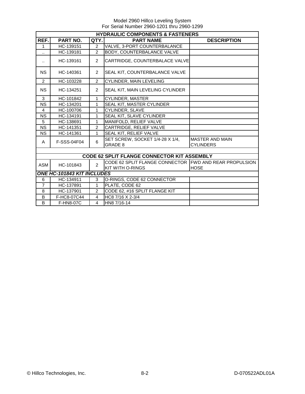|                      | <b>HYDRAULIC COMPONENTS &amp; FASTENERS</b>                |                |                                                                                   |                                            |  |  |  |
|----------------------|------------------------------------------------------------|----------------|-----------------------------------------------------------------------------------|--------------------------------------------|--|--|--|
| REF.                 | QTY.<br>PART NO.<br><b>PART NAME</b><br><b>DESCRIPTION</b> |                |                                                                                   |                                            |  |  |  |
| $\mathbf{1}$         | HC-139151                                                  | $\overline{2}$ | VALVE, 3-PORT COUNTERBALANCE                                                      |                                            |  |  |  |
| $\ddot{\phantom{a}}$ | HC-139181                                                  | $\overline{2}$ | BODY, COUNTERBALANCE VALVE                                                        |                                            |  |  |  |
| $\ddot{\phantom{a}}$ | HC-139161                                                  | $\overline{2}$ | CARTRIDGE, COUNTERBALACE VALVE                                                    |                                            |  |  |  |
| <b>NS</b>            | HC-140361                                                  | $\overline{2}$ | SEAL KIT, COUNTERBALANCE VALVE                                                    |                                            |  |  |  |
| 2                    | HC-103228                                                  | $\overline{2}$ | CYLINDER, MAIN LEVELING                                                           |                                            |  |  |  |
| <b>NS</b>            | HC-134251                                                  | $\overline{2}$ | SEAL KIT, MAIN LEVELING CYLINDER                                                  |                                            |  |  |  |
| 3                    | HC-101842                                                  | 1              | CYLINDER, MASTER                                                                  |                                            |  |  |  |
| <b>NS</b>            | HC-134201                                                  | 1              | SEAL KIT, MASTER CYLINDER                                                         |                                            |  |  |  |
| $\overline{4}$       | HC-100706                                                  | 1              | CYLINDER, SLAVE                                                                   |                                            |  |  |  |
| <b>NS</b>            | HC-134191                                                  | 1              | SEAL KIT, SLAVE CYLINDER                                                          |                                            |  |  |  |
| 5                    | HC-138691                                                  | 1              | MANIFOLD, RELIEF VALVE                                                            |                                            |  |  |  |
| <b>NS</b>            | HC-141351                                                  | $\overline{2}$ | CARTRIDGE, RELIEF VALVE                                                           |                                            |  |  |  |
| <b>NS</b>            | HC-141361                                                  | 1              | SEAL KIT, RELIEF VALVE                                                            |                                            |  |  |  |
| A                    | F-SSS-04F04                                                | 6              | SET SCREW, SOCKET 1/4-28 X 1/4,<br><b>GRADE 8</b>                                 | <b>MASTER AND MAIN</b><br><b>CYLINDERS</b> |  |  |  |
|                      |                                                            |                |                                                                                   |                                            |  |  |  |
|                      |                                                            |                | <b>CODE 62 SPLIT FLANGE CONNECTOR KIT ASSEMBLY</b>                                |                                            |  |  |  |
| <b>ASM</b>           | HC-101843                                                  | $\overline{2}$ | CODE 62 SPLIT FLANGE CONNECTOR FWD AND REAR PROPULSION<br><b>KIT WITH O-RINGS</b> | <b>HOSE</b>                                |  |  |  |
|                      | <b>ONE HC-101843 KIT INCLUDES</b>                          |                |                                                                                   |                                            |  |  |  |
| 6                    | HC-134911                                                  | 3              | O-RINGS, CODE 62 CONNECTOR                                                        |                                            |  |  |  |
| $\overline{7}$       | HC-137891                                                  | 1              | PLATE, CODE 62                                                                    |                                            |  |  |  |
| 8                    | HC-137901                                                  | $\mathcal{P}$  | CODE 62, #16 SPLIT FLANGE KIT                                                     |                                            |  |  |  |
| B                    | F-HC8-07C44                                                | $\overline{4}$ | HC8 7/16 X 2-3/4                                                                  |                                            |  |  |  |
| B                    | F-HN8-07C                                                  | $\overline{4}$ | HN8 7/16-14                                                                       |                                            |  |  |  |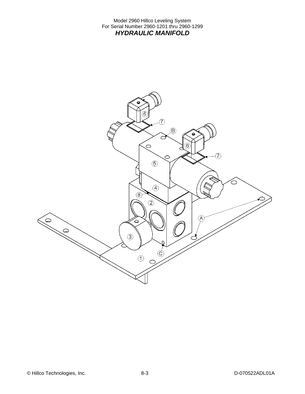Model 2960 Hillco Leveling System For Serial Number 2960-1201 thru 2960-1299 *HYDRAULIC MANIFOLD* 

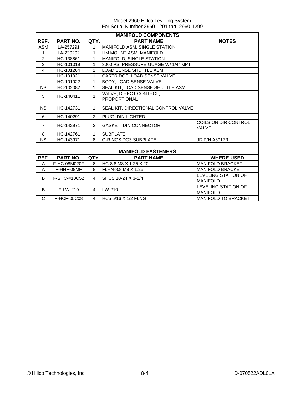|                      | <b>MANIFOLD COMPONENTS</b> |                |                                               |                                      |  |  |
|----------------------|----------------------------|----------------|-----------------------------------------------|--------------------------------------|--|--|
| REF.                 | <b>PART NO.</b>            | <b>NOTES</b>   |                                               |                                      |  |  |
| <b>ASM</b>           | LA-257291                  | 1              | MANIFOLD ASM, SINGLE STATION                  |                                      |  |  |
| $\mathbf{1}$         | LA-229292                  | $\mathbf{1}$   | HM MOUNT ASM, MANIFOLD                        |                                      |  |  |
| 2                    | HC-138861                  | 1              | MANIFOLD, SINGLE STATION                      |                                      |  |  |
| 3                    | HC-101019                  | $\mathbf{1}$   | 3000 PSI PRESSURE GUAGE W/ 1/4" MPT           |                                      |  |  |
| $\overline{4}$       | HC-101264                  | 1              | <b>LOAD SENSE SHUTTLE ASM</b>                 |                                      |  |  |
| $\ddotsc$            | HC-101021                  | 1              | CARTRIDGE, LOAD SENSE VALVE                   |                                      |  |  |
| $\ddot{\phantom{1}}$ | HC-101022                  | 1              | BODY, LOAD SENSE VALVE                        |                                      |  |  |
| <b>NS</b>            | HC-102082                  | 1              | SEAL KIT, LOAD SENSE SHUTTLE ASM              |                                      |  |  |
| 5                    | HC-140411                  | 1              | VALVE, DIRECT CONTROL,<br><b>PROPORTIONAL</b> |                                      |  |  |
| <b>NS</b>            | HC-142731                  | $\mathbf{1}$   | SEAL KIT, DIRECTIONAL CONTROL VALVE           |                                      |  |  |
| 6                    | HC-140291                  | $\overline{2}$ | PLUG, DIN LIGHTED                             |                                      |  |  |
| $\overline{7}$       | HC-142971                  | 3              | GASKET, DIN CONNECTOR                         | COILS ON DIR CONTROL<br><b>VALVE</b> |  |  |
| 8                    | HC-142761                  | 1              | <b>SUBPLATE</b>                               |                                      |  |  |
| <b>NS</b>            | HC-143971                  | 8              | O-RINGS DO3 SUBPLATE                          | <b>JD P/N A3917R</b>                 |  |  |
|                      |                            |                |                                               |                                      |  |  |
|                      |                            |                | <b>MANIFOLD FASTENERS</b>                     |                                      |  |  |
| REF.                 | PART NO.                   | QTY.           | <b>PART NAME</b>                              | <b>WHERE USED</b>                    |  |  |
| A                    | F-HC-08M020F               | 8              | HC-8.8 M8 X 1.25 X 20                         | <b>MANIFOLD BRACKET</b>              |  |  |
| A                    | F-HNF-08MF                 | 8              | FLHN-8.8 M8 X 1.25                            | <b>MANIFOLD BRACKET</b>              |  |  |
| B                    | F-SHC-#10C52               | $\overline{4}$ | SHCS 10-24 X 3-1/4                            | <b>LEVELING STATION OF</b>           |  |  |
|                      |                            |                |                                               | <b>MANIFOLD</b>                      |  |  |
| B                    | $F-I W-#10$                | $\overline{4}$ | $LW$ #10                                      | <b>LEVELING STATION OF</b>           |  |  |
|                      |                            |                |                                               | <b>MANIFOLD</b>                      |  |  |
| C                    | F-HCF-05C08                | 4              | HC5 5/16 X 1/2 FLNG                           | <b>MANIFOLD TO BRACKET</b>           |  |  |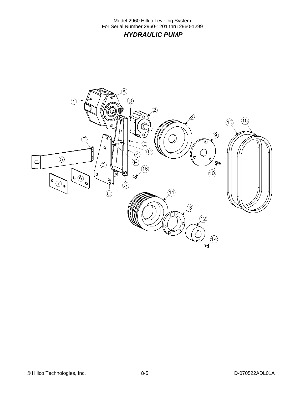Model 2960 Hillco Leveling System For Serial Number 2960-1201 thru 2960-1299  *HYDRAULIC PUMP* 

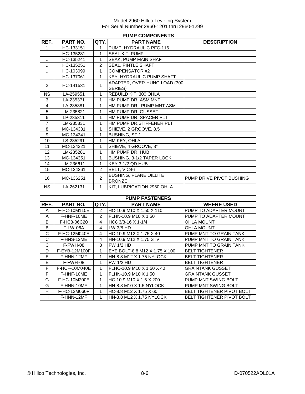|                  | <b>PUMP COMPONENTS</b> |                |                               |                           |  |  |
|------------------|------------------------|----------------|-------------------------------|---------------------------|--|--|
| REF.             | <b>PART NO.</b>        | QTY.           | <b>PART NAME</b>              | <b>DESCRIPTION</b>        |  |  |
| 1                | HC-133151              | 1.             | PUMP, HYDRAULIC PFC-116       |                           |  |  |
| .,               | HC-135231              | 1              | SEAL KIT, PUMP                |                           |  |  |
|                  | HC-135241              | 1              | <b>SEAK, PUMP MAIN SHAFT</b>  |                           |  |  |
|                  | HC-135251              | $\overline{2}$ | <b>SEAL, PINTLE SHAFT</b>     |                           |  |  |
| ٠.               | HC-103099              | 1              | <b>COMPENSATOR #2</b>         |                           |  |  |
|                  | HC-137061              | $\mathbf{1}$   | KEY, HYDRAULIC PUMP SHAFT     |                           |  |  |
|                  |                        |                | ADAPTER, OVER-HUNG LOAD (300  |                           |  |  |
| 2                | HC-141531              | 1              | SERIES)                       |                           |  |  |
| <b>NS</b>        | LA-259551              | $\mathbf{1}$   | REBUILD KIT, 300 OHLA         |                           |  |  |
| 3                | LA-235371              | $\mathbf{1}$   | HM PUMP DR, ASM MNT           |                           |  |  |
| 4                | LA-235381              | 1              | HM PUMP DR, PUMP MNT ASM      |                           |  |  |
| 5                | LM-235821              | 1              | HM PUMP DR, GUSSET            |                           |  |  |
| 6                | LP-235311              | 1              | HM PUMP DR, SPACER PLT        |                           |  |  |
| $\overline{7}$   | LM-235831              | $\mathbf 1$    | HM PUMP DR, STIFFENER PLT     |                           |  |  |
| 8                | MC-134331              | 1              | SHIEVE, 2 GROOVE, 8.5"        |                           |  |  |
| $\boldsymbol{9}$ | MC-134341              | 1              | <b>BUSHING, SF1</b>           |                           |  |  |
| 10               | LS-235291              | 1              | HM KEY, OHLA                  |                           |  |  |
| 11               | MC-134321              | 1              | SHIEVE, 4 GROOVE, 8"          |                           |  |  |
| 12               | LM-235281              | 1              | HM PUMP DR, HUB               |                           |  |  |
| 13               | MC-134351              | 1              | BUSHING, 3-1/2 TAPER LOCK     |                           |  |  |
| 14               | LM-236611              | 1              | KEY 3-1/2 QD HUB              |                           |  |  |
| 15               | MC-134361              | $\overline{2}$ | BELT, V C46                   |                           |  |  |
| 16               | MC-136251              | $\overline{2}$ | <b>BUSHING, PLANE OILLITE</b> | PUMP DRIVE PIVOT BUSHING  |  |  |
|                  |                        |                | <b>BRONZE</b>                 |                           |  |  |
| <b>NS</b>        | LA-262131              | $\mathbf{1}$   | KIT, LUBRICATION 2960 OHLA    |                           |  |  |
|                  |                        |                |                               |                           |  |  |
|                  |                        |                | <b>PUMP FASTENERS</b>         |                           |  |  |
| REF.             | PART NO.               | QTY.           | <b>PART NAME</b>              | <b>WHERE USED</b>         |  |  |
| Α                | F-HC-10M110E           | 2              | HC-10.9 M10 X 1.50 X 110      | PUMP TO ADAPTER MOUNT     |  |  |
| Α                | F-HNF-10ME             | 2              | FLHN-10.9 M10 X 1.50          | PUMP TO ADAPTER MOUNT     |  |  |
| B                | F-HC8-06C20            | 4              | HC8 3/8-16 X 1-1/4            | <b>OHLA MOUNT</b>         |  |  |
| B                | <b>F-LW-06A</b>        | $\overline{4}$ | LW 3/8 HD                     | <b>OHLA MOUNT</b>         |  |  |
| С                | F-HC-12M040E           | 4              | HC-10.9 M12 X 1.75 X 40       | PUMP MNT TO GRAIN TANK    |  |  |
| С                | F-HNS-12ME             | 4              | HN-10.9 M12 X 1.75 STV        | PUMP MNT TO GRAIN TANK    |  |  |
| C                | F-FWH-08               | 8              | <b>FW 1/2 HD</b>              | PUMP MNT TO GRAIN TANK    |  |  |
| D                | F-EYB-12M100F          | 1              | EYE BOLT-8.8 M12 X 1.75 X 100 | <b>BELT TIGHTENER</b>     |  |  |
| E                | F-HNN-12MF             | 1              | HN-8.8 M12 X 1.75 NYLOCK      | <b>BELT TIGHTENER</b>     |  |  |
| E                | F-FWH-08               | 1              | FW 1/2 HD                     | <b>BELT TIGHTENER</b>     |  |  |
| F                | F-HCF-10M040E          | 1              | FLHC-10.9 M10 X 1.50 X 40     | <b>GRAINTANK GUSSET</b>   |  |  |
| F                | F-HNF-10ME             | 1              | FLHN-10.9 M10 X 1.50          | <b>GRAINTANK GUSSET</b>   |  |  |
| G                | F-HC-10M200E           | 1              | HC-10.9 M10 X 1.5 X 200       | PUMP MNT SWING BOLT       |  |  |
| G                | F-HNN-10MF             | 1              | HN-8.8 M10 X 1.5 NYLOCK       | PUMP MNT SWING BOLT       |  |  |
| H                | F-HC-12M060F           | 1              | HC-8.8 M12 X 1.75 X 60        | BELT TIGHTENER PIVOT BOLT |  |  |
| H                | F-HNN-12MF             | 1              | HN-8.8 M12 X 1.75 NYLOCK      | BELT TIGHTENER PIVOT BOLT |  |  |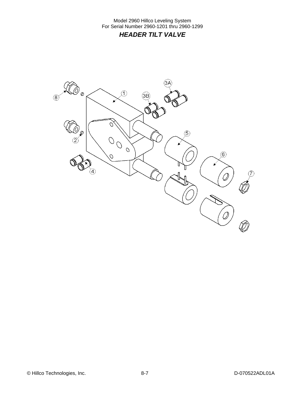Model 2960 Hillco Leveling System For Serial Number 2960-1201 thru 2960-1299 *HEADER TILT VALVE* 

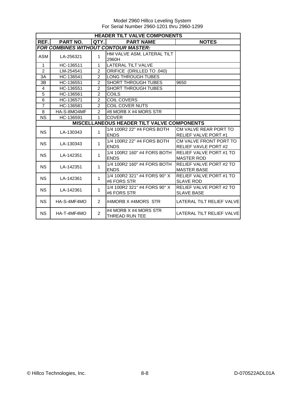| <b>HEADER TILT VALVE COMPONENTS</b> |                 |                |                                                   |                                |
|-------------------------------------|-----------------|----------------|---------------------------------------------------|--------------------------------|
| REF.I                               | <b>PART NO.</b> | QTY.           | <b>PART NAME</b>                                  | <b>NOTES</b>                   |
|                                     |                 |                | <b>FOR COMBINES WITHOUT CONTOUR MASTER:</b>       |                                |
| ASM                                 | LA-256321       | 1              | HM VALVE ASM, LATERAL TILT                        |                                |
|                                     |                 |                | 2960H                                             |                                |
| $\mathbf{1}$                        | HC-136511       | 1              | <b>LATERAL TILT VALVE</b>                         |                                |
| $\overline{2}$                      | LM-254541       | $\overline{2}$ | ORIFICE (DRILLED TO .040)                         |                                |
| 3A                                  | HC-136541       | $\mathfrak{p}$ | <b>LONG THROUGH TUBES</b>                         |                                |
| 3B                                  | HC-136551       | $\overline{c}$ | <b>SHORT THROUGH TUBES</b>                        | 9650                           |
| $\overline{4}$                      | HC-136551       | $\overline{2}$ | <b>SHORT THROUGH TUBES</b>                        |                                |
| 5                                   | HC-136561       | $\overline{2}$ | <b>COILS</b>                                      |                                |
| 6                                   | HC-136571       | $\overline{2}$ | <b>COIL COVERS</b>                                |                                |
| $\overline{7}$                      | HC-136581       | $\overline{2}$ | <b>COIL COVER NUTS</b>                            |                                |
| 8                                   | HA-S-8MO4MF     | $\overline{2}$ | #8 MORB X #4 MORS STR                             |                                |
| <b>NS</b>                           | HC-136591       | 1              | <b>COVER</b>                                      |                                |
|                                     |                 |                | <b>MISCELLANEOUS HEADER TILT VALVE COMPONENTS</b> |                                |
| <b>NS</b>                           | LA-130343       | 1              | 1/4 100R2 22" #4 FORS BOTH                        | CM VALVE REAR PORT TO          |
|                                     |                 |                | <b>ENDS</b>                                       | <b>RELIEF VALVE PORT#1</b>     |
| <b>NS</b>                           | LA-130343       | $\mathbf{1}$   | 1/4 100R2 22" #4 FORS BOTH                        | CM VALVE FRONT PORT TO         |
|                                     |                 |                | <b>ENDS</b>                                       | <b>RELIEF VAVLE PORT #2</b>    |
| <b>NS</b>                           | LA-142351       | $\mathbf{1}$   | 1/4 100R2 160" #4 FORS BOTH                       | RELIEF VALVE PORT#1 TO         |
|                                     |                 |                | <b>ENDS</b>                                       | <b>MASTER ROD</b>              |
| <b>NS</b>                           | LA-142351       | 1              | 1/4 100R2 160" #4 FORS BOTH                       | <b>RELIEF VALVE PORT #2 TO</b> |
|                                     |                 |                | <b>ENDS</b>                                       | <b>MASTER BASE</b>             |
| <b>NS</b>                           | LA-142361       | $\mathbf{1}$   | 1/4 100R2 321" #4 FORS 90° X                      | RELIEF VALVE PORT #1 TO        |
|                                     |                 |                | #6 FORS STR                                       | <b>SLAVE ROD</b>               |
| <b>NS</b>                           | LA-142361       | 1              | 1/4 100R2 321" #4 FORS 90° X                      | RELIEF VALVE PORT #2 TO        |
|                                     |                 |                | #6 FORS STR                                       | <b>SLAVE BASE</b>              |
| NS.                                 | HA-S-4MF4MO     | $\overline{2}$ | #4MORB X #4MORS STR                               | LATERAL TILT RELIEF VALVE      |
|                                     |                 |                |                                                   |                                |
| <b>NS</b>                           | HA-T-4MF4MO     | $\overline{2}$ | #4 MORB X #4 MORS STR                             | LATERAL TILT RELIEF VALVE      |
|                                     |                 |                | <b>THREAD RUN TEE</b>                             |                                |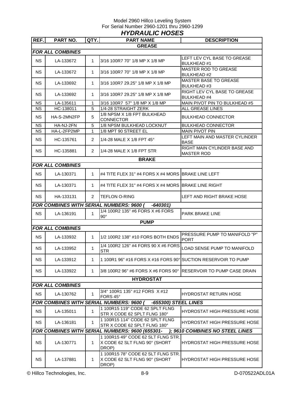#### Model 2960 Hillco Leveling System For Serial Number 2960-1201 thru 2960-1299 *HYDRAULIC HOSES*

| REF.                                                                    | PART NO.                | QTY.           | <b>PART NAME</b>                                                             | <b>DESCRIPTION</b>                                  |
|-------------------------------------------------------------------------|-------------------------|----------------|------------------------------------------------------------------------------|-----------------------------------------------------|
|                                                                         |                         |                | <b>GREASE</b>                                                                |                                                     |
|                                                                         | <b>FOR ALL COMBINES</b> |                |                                                                              |                                                     |
| <b>NS</b>                                                               | LA-133672               | $\mathbf{1}$   | 3/16 100R7 70" 1/8 MP X 1/8 MP                                               | LEFT LEV CYL BASE TO GREASE<br><b>BULKHEAD#1</b>    |
| NS.                                                                     | LA-133672               | 1              | 3/16 100R7 70" 1/8 MP X 1/8 MP                                               | <b>MASTER ROD TO GREASE</b><br><b>BULKHEAD#2</b>    |
| <b>NS</b>                                                               | LA-133692               | 1              | 3/16 100R7 29.25" 1/8 MP X 1/8 MP                                            | <b>MASTER BASE TO GREASE</b><br><b>BULKHEAD#3</b>   |
| <b>NS</b>                                                               | LA-133692               | 1              | 3/16 100R7 29.25" 1/8 MP X 1/8 MP                                            | RIGHT LEV CYL BASE TO GREASE<br><b>BULKHEAD #4</b>  |
| <b>NS</b>                                                               | LA-135611               | 1              | 3/16 100R7 57" 1/8 MP X 1/8 MP                                               | MAIN PIVOT PIN TO BULKHEAD #5                       |
| <b>NS</b>                                                               | HC-138011               | 5              | 1/4-28 STRAIGHT ZERK                                                         | ALL GREASE LINES                                    |
| <b>NS</b>                                                               | HA-S-2MN2FP             | 5              | 1/8 NPSM X 1/8 FPT BULKHEAD<br>CONNECTOR                                     | <b>BULKHEAD CONNECTOR</b>                           |
| <b>NS</b>                                                               | HA-NJ-2FN               | 5              | 1/8 NPSM BULKHEAD LOCKNUT                                                    | <b>BULKHEAD CONNECTOR</b>                           |
| <b>NS</b>                                                               | HA-L-2FP2MP             | 1              | 1/8 MPT 90 STREET EL                                                         | <b>MAIN PIVOT PIN</b>                               |
| NS.                                                                     | HC-135761               | $\overline{2}$ | 1/4-28 MALE X 1/8 FPT 45°                                                    | LEFT MAIN AND MASTER CYLINDER<br><b>BASE</b>        |
| NS.                                                                     | HC-135881               | $\overline{2}$ | 1/4-28 MALE X 1/8 FPT STR                                                    | RIGHT MAIN CYLINDER BASE AND<br><b>MASTER ROD</b>   |
|                                                                         |                         |                | <b>BRAKE</b>                                                                 |                                                     |
|                                                                         | <b>FOR ALL COMBINES</b> |                |                                                                              |                                                     |
| <b>NS</b>                                                               | LA-130371               | $\mathbf 1$    | #4 TITE FLEX 31" #4 FORS X #4 MORS BRAKE LINE LEFT                           |                                                     |
| <b>NS</b>                                                               | LA-130371               | 1              | #4 TITE FLEX 31" #4 FORS X #4 MORS BRAKE LINE RIGHT                          |                                                     |
| NS.                                                                     | HA-133131               | $\overline{2}$ | <b>TEFLON O-RING</b>                                                         | LEFT AND RIGHT BRAKE HOSE                           |
|                                                                         |                         |                | <b>FOR COMBINES WITH SERIAL NUMBERS: 9600 (</b><br>-640301)                  |                                                     |
| <b>NS</b>                                                               | LA-136191               | 1              | 1/4 100R2 135" #6 FORS X #6 FORS<br>$90^\circ$                               | PARK BRAKE LINE                                     |
|                                                                         |                         |                | <b>PUMP</b>                                                                  |                                                     |
|                                                                         | <b>FOR ALL COMBINES</b> |                |                                                                              |                                                     |
| <b>NS</b>                                                               | LA-133932               | $\mathbf{1}$   | 1/2 100R2 138" #10 FORS BOTH ENDS                                            | <b>PRESSURE PUMP TO MANIFOLD "P"</b><br><b>PORT</b> |
| <b>NS</b>                                                               | LA-133952               | $\mathbf 1$    | 1/4 100R2 126" #4 FORS 90 X #6 FORS<br><b>STR</b>                            | LOAD SENSE PUMP TO MANIFOLD                         |
| <b>NS</b>                                                               | LA-133912               | 1              | 1 100R1 96" #16 FORS X #16 FORS 90° SUCTION RESERVOIR TO PUMP                |                                                     |
| NS.                                                                     | LA-133922               | 1              | 3/8 100R2 96" #6 FORS X #6 FORS 90° RESERVOIR TO PUMP CASE DRAIN             |                                                     |
|                                                                         |                         |                | <b>HYDROSTAT</b>                                                             |                                                     |
|                                                                         | <b>FOR ALL COMBINES</b> |                |                                                                              |                                                     |
| <b>NS</b>                                                               | LA-130762               | $\mathbf 1$    | 3/4" 100R1 135" #12 FORS X #12<br>FORS 45°                                   | HYDROSTAT RETURN HOSE                               |
| <b>FOR COMBINES WITH SERIAL NUMBERS: 9600 (</b><br>-655300) STEEL LINES |                         |                |                                                                              |                                                     |
| <b>NS</b>                                                               | LA-135011               | $\mathbf{1}$   | 1 100R15 119" CODE 62 SPLT FLNG<br>STR X CODE 62 SPLT FLNG 180°              | <b>HYDROSTAT HIGH PRESSURE HOSE</b>                 |
| NS.                                                                     | LA-136181               | $\mathbf 1$    | 1 100R15 114" CODE 62 SPLT FLNG<br>STR X CODE 62 SPLT FLNG 180°              | <b>HYDROSTAT HIGH PRESSURE HOSE</b>                 |
|                                                                         |                         |                | FOR COMBINES WITH SERIAL NUMBERS: 9600 (655301-                              | ); 9610 COMBINES NO STEEL LINES                     |
| <b>NS</b>                                                               | LA-130771               | $\mathbf 1$    | 1 100R15 49" CODE 62 SLT FLNG STR.<br>X CODE 62 SLT FLNG 90° (SHORT<br>DROP) | <b>HYDROSTAT HIGH PRESSURE HOSE</b>                 |
| <b>NS</b>                                                               | LA-137881               | 1              | 1 100R15 78" CODE 62 SLT FLNG STR.<br>X CODE 62 SLT FLNG 90° (SHORT<br>DROP) | <b>HYDROSTAT HIGH PRESSURE HOSE</b>                 |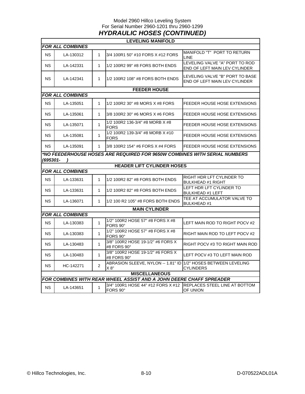#### Model 2960 Hillco Leveling System For Serial Number 2960-1201 thru 2960-1299 *HYDRAULIC HOSES (CONTINUED)*

|           |                         |                | <b>LEVELING MANIFOLD</b>                                                  |                                                                  |  |  |
|-----------|-------------------------|----------------|---------------------------------------------------------------------------|------------------------------------------------------------------|--|--|
|           | <b>FOR ALL COMBINES</b> |                |                                                                           |                                                                  |  |  |
| <b>NS</b> | LA-130312               | $\mathbf{1}$   | 3/4 100R1 50" #10 FORS X #12 FORS                                         | MANIFOLD "T" PORT TO RETURN<br>LINE                              |  |  |
| ΝS        | LA-142331               | $\mathbf{1}$   | 1/2 100R2 99" #8 FORS BOTH ENDS                                           | LEVELING VALVE "A" PORT TO ROD<br>END OF LEFT MAIN LEV CYLINDER  |  |  |
| <b>NS</b> | LA-142341               | $\mathbf{1}$   | 1/2 100R2 108" #8 FORS BOTH ENDS                                          | LEVELING VALVE "B" PORT TO BASE<br>END OF LEFT MAIN LEV CYLINDER |  |  |
|           |                         |                | <b>FEEDER HOUSE</b>                                                       |                                                                  |  |  |
|           | <b>FOR ALL COMBINES</b> |                |                                                                           |                                                                  |  |  |
| <b>NS</b> | LA-135051               | $\mathbf{1}$   | 1/2 100R2 30" #8 MORS X #8 FORS                                           | FEEDER HOUSE HOSE EXTENSIONS                                     |  |  |
| ΝS        | LA-135061               | $\mathbf{1}$   | 3/8 100R2 30" #6 MORS X #6 FORS                                           | FEEDER HOUSE HOSE EXTENSIONS                                     |  |  |
| ΝS        | LA-135071               | $\mathbf{1}$   | 1/2 100R2 136-3/4" #8 MORB X #8<br><b>FORS</b>                            | FEEDER HOUSE HOSE EXTENSIONS                                     |  |  |
| <b>NS</b> | LA-135081               | $\mathbf{1}$   | 1/2 100R2 139-3/4" #8 MORB X #10<br><b>FORS</b>                           | FEEDER HOUSE HOSE EXTENSIONS                                     |  |  |
| NS.       | LA-135091               | 1              | 3/8 100R2 154" #6 FORS X #4 FORS                                          | FEEDER HOUSE HOSE EXTENSIONS                                     |  |  |
| (695301-  |                         |                | *NO FEEDERHOUSE HOSES ARE REQUIRED FOR 9650W COMBINES WITH SERIAL NUMBERS |                                                                  |  |  |
|           |                         |                | <b>HEADER LIFT CYLINDER HOSES</b>                                         |                                                                  |  |  |
|           | <b>FOR ALL COMBINES</b> |                |                                                                           |                                                                  |  |  |
| NS.       | LA-133631               | $\mathbf{1}$   | 1/2 100R2 82" #8 FORS BOTH ENDS                                           | RIGHT HDR LFT CYLINDER TO<br><b>BULKHEAD #1 RIGHT</b>            |  |  |
| NS        | LA-133631               | $\mathbf{1}$   | 1/2 100R2 82" #8 FORS BOTH ENDS                                           | LEFT HDR LFT CYLINDER TO<br><b>BULKHEAD #1 LEFT</b>              |  |  |
| <b>NS</b> | LA-136071               | $\mathbf{1}$   | 1/2 100 R2 105" #8 FORS BOTH ENDS                                         | TEE AT ACCUMULATOR VALVE TO<br><b>BULKHEAD#1</b>                 |  |  |
|           |                         |                | <b>MAIN CYLINDER</b>                                                      |                                                                  |  |  |
|           | <b>FOR ALL COMBINES</b> |                |                                                                           |                                                                  |  |  |
| <b>NS</b> | LA-130383               | $\mathbf{1}$   | 1/2" 100R2 HOSE 57" #8 FORS X #8<br>FORS 90°                              | LEFT MAIN ROD TO RIGHT POCV #2                                   |  |  |
| NS.       | LA-130383               | 1              | 1/2" 100R2 HOSE 57" #8 FORS X #8<br>FORS 90°                              | RIGHT MAIN ROD TO LEFT POCV #2                                   |  |  |
| ΝS        | LA-130483               | 1              | 3/8" 100R2 HOSE 19-1/2" #6 FORS X<br>#8 FORS 90°                          | RIGHT POCV #3 TO RIGHT MAIN ROD                                  |  |  |
| ΝS        | LA-130483               | $\mathbf{1}$   | 3/8" 100R2 HOSE 19-1/2" #6 FORS X<br>#8 FORS 90°                          | LEFT POCV #3 TO LEFT MAIN ROD                                    |  |  |
| ΝS        | HC-142271               | $\overline{2}$ | ABRASION SLEEVE, NYLON -- 1.81" ID<br>X 8"                                | 1/2" HOSES BETWEEN LEVELING<br><b>CYLINDERS</b>                  |  |  |
|           | <b>MISCELLANEOUS</b>    |                |                                                                           |                                                                  |  |  |
|           |                         |                | FOR COMBINES WITH REAR WHEEL ASSIST AND A JOHN DEERE CHAFF SPREADER       |                                                                  |  |  |
| <b>NS</b> | LA-143651               | 1              | 3/4" 100R1 HOSE 44" #12 FORS X #12<br>FORS 90°                            | <b>REPLACES STEEL LINE AT BOTTOM</b><br>OF UNION                 |  |  |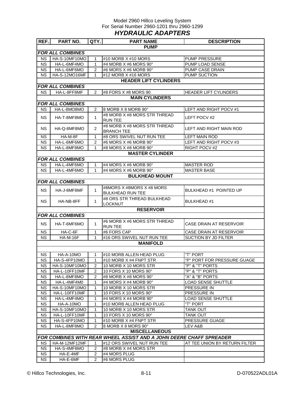#### Model 2960 Hillco Leveling System For Serial Number 2960-1201 thru 2960-1299 *HYDRAULIC ADAPTERS*

| REF.                    | PART NO.                | QTY.           | <b>PART NAME</b>                                                           | <b>DESCRIPTION</b>            |  |  |  |  |
|-------------------------|-------------------------|----------------|----------------------------------------------------------------------------|-------------------------------|--|--|--|--|
|                         |                         |                | <b>PUMP</b>                                                                |                               |  |  |  |  |
|                         | <b>FOR ALL COMBINES</b> |                |                                                                            |                               |  |  |  |  |
| <b>NS</b>               | HA-S-10MF10MO           | 1              | #10 MORB X #10 MORS                                                        | <b>PUMP PRESSURE</b>          |  |  |  |  |
| <b>NS</b>               | HA-L-6MF4MO             | $\mathbf{1}$   | #4 MORB X #6 MORS 90°                                                      | PUMP LOAD SENSE               |  |  |  |  |
| <b>NS</b>               | HA-L-6MF6MO             | $\overline{2}$ | #6 MORS X #6 MORB 90°                                                      | PUMP CASE DRAIN               |  |  |  |  |
| <b>NS</b>               | HA-S-12MO16MF           | 1              | #12 MORB X #16 MORS                                                        | <b>PUMP SUCTION</b>           |  |  |  |  |
|                         |                         |                | <b>HEADER LIFT CYLINDERS</b>                                               |                               |  |  |  |  |
|                         | <b>FOR ALL COMBINES</b> |                |                                                                            |                               |  |  |  |  |
| <b>NS</b>               | HA-L-8FF8MF             | $\overline{2}$ | #8 FORS X #8 MORS 90                                                       | <b>HEADER LIFT CYLINDERS</b>  |  |  |  |  |
| <b>MAIN CYLINDERS</b>   |                         |                |                                                                            |                               |  |  |  |  |
| <b>FOR ALL COMBINES</b> |                         |                |                                                                            |                               |  |  |  |  |
| <b>NS</b>               | HA-L-8MO8MO             | 2              | 8 MORB X 8 MORB 90°                                                        | LEFT AND RIGHT POCV #1        |  |  |  |  |
|                         |                         |                | #8 MORB X #8 MORS STR THREAD                                               |                               |  |  |  |  |
| <b>NS</b>               | HA-T-8MF8MO             | $\mathbf{1}$   | <b>RUN TEE</b>                                                             | LEFT POCV #2                  |  |  |  |  |
|                         |                         |                | #8 MORB X #8 MORS STR THREAD                                               |                               |  |  |  |  |
| <b>NS</b>               | HA-Q-8MF8MO             | 2              | <b>BRANCH TEE</b>                                                          | LEFT AND RIGHT MAIN ROD       |  |  |  |  |
| <b>NS</b>               | HA-M-8F                 | 1              | #8 ORS SWIVEL NUT RUN TEE                                                  | <b>LEFT MAIN ROD</b>          |  |  |  |  |
| <b>NS</b>               | HA-L-6MF6MO             | $\overline{2}$ | #6 MORS X #6 MORB 90°                                                      | LEFT AND RIGHT POCV #3        |  |  |  |  |
| <b>NS</b>               | HA-L-8MF8MO             | 1              | #8 MORS X #8 MORB 90°                                                      | RIGHT POCV #2                 |  |  |  |  |
|                         |                         |                | <b>MASTER CYLINDER</b>                                                     |                               |  |  |  |  |
|                         | <b>FOR ALL COMBINES</b> |                |                                                                            |                               |  |  |  |  |
| <b>NS</b>               | HA-L-4MF6MO             | 1              | #4 MORS X #6 MORB 90°                                                      | <b>MASTER ROD</b>             |  |  |  |  |
| <b>NS</b>               | HA-L-4MF6MO             | $\mathbf{1}$   | #4 MORS X #6 MORB 90°                                                      | <b>MASTER BASE</b>            |  |  |  |  |
|                         |                         |                | <b>BULKHEAD MOUNT</b>                                                      |                               |  |  |  |  |
|                         | <b>FOR ALL COMBINES</b> |                |                                                                            |                               |  |  |  |  |
|                         |                         |                | #8MORS X #8MORS X #8 MORS                                                  |                               |  |  |  |  |
| <b>NS</b>               | HA-J-8MF8MF             | $\mathbf{1}$   | <b>BULKHEAD RUN TEE</b>                                                    | BULKHEAD #1 POINTED UP        |  |  |  |  |
|                         |                         |                | #8 ORS STR THREAD BULKHEAD                                                 |                               |  |  |  |  |
| <b>NS</b>               | HA-NB-8FF               | 1              | <b>LOCKNUT</b>                                                             | <b>BULKHEAD #1</b>            |  |  |  |  |
|                         |                         |                | <b>RESERVOIR</b>                                                           |                               |  |  |  |  |
|                         | <b>FOR ALL COMBINES</b> |                |                                                                            |                               |  |  |  |  |
|                         |                         |                | #6 MORB X #6 MORS STR THREAD                                               |                               |  |  |  |  |
| <b>NS</b>               | HA-T-6MF6MO             | $\mathbf{1}$   | <b>RUN TEE</b>                                                             | CASE DRAIN AT RESERVOIR       |  |  |  |  |
| <b>NS</b>               | $HA-C-6F$               | 1              | #6 FORS CAP                                                                | CASE DRAIN AT RESERVOIR       |  |  |  |  |
| <b>NS</b>               | <b>HA-M-16F</b>         | $\mathbf{1}$   | #16 ORS SWIVEL NUT RUN TEE                                                 | SUCTION BY JD FILTER          |  |  |  |  |
|                         |                         |                | <b>MANIFOLD</b>                                                            |                               |  |  |  |  |
|                         |                         |                |                                                                            |                               |  |  |  |  |
| <b>NS</b>               | HA-A-10MO               | 1              | #10 MORB ALLEN HEAD PLUG                                                   | "T" PORT                      |  |  |  |  |
| <b>NS</b>               | HA-S-4FP10MO            | 1              | #10 MORB X #4 FNPT STR                                                     | "P" PORT FOR PRESSURE GUAGE   |  |  |  |  |
| <b>NS</b>               | HA-S-10MF10MO           | 2              | 10 MORB X 10 MORS STR                                                      | "P" & "T" PORTS               |  |  |  |  |
| <b>NS</b>               | HA-L-10FF10MF           | 2              | 10 FORS X 10 MORS 90°                                                      | "P" & "T" PORTS               |  |  |  |  |
| <b>NS</b>               | HA-L-8MF8MO             | $\overline{2}$ | #8 MORB X #8 MORS 90°                                                      | "A" & "B" PORTS               |  |  |  |  |
| <b>NS</b>               | HA-L-4MF4M0             | 1              | #4 MORS X #4 MORB 90°                                                      | <b>LOAD SENSE SHUTTLE</b>     |  |  |  |  |
| <b>NS</b>               | HA-S-10MF10MO           | 1              | 10 MORB X 10 MORS STR                                                      | PRESSURE IN                   |  |  |  |  |
| <b>NS</b>               | HA-L-10FF10MF           | 1              | 10 FORS X 10 MORS 90°                                                      | <b>PRESSURE IN</b>            |  |  |  |  |
| <b>NS</b>               | HA-L-4MF4MO             | 1              | #4 MORS X #4 MORB 90°                                                      | <b>LOAD SENSE SHUTTLE</b>     |  |  |  |  |
| <b>NS</b>               | HA-A-10MO               | 1              | #10 MORB ALLEN HEAD PLUG                                                   | "T" PORT                      |  |  |  |  |
| <b>NS</b>               | HA-S-10MF10MO           | 1              | 10 MORB X 10 MORS STR                                                      | <b>TANK OUT</b>               |  |  |  |  |
| <b>NS</b>               | HA-L-10FF10MF           | 1              | 10 FORS X 10 MORS 90°                                                      | <b>TANK OUT</b>               |  |  |  |  |
| <b>NS</b>               | HA-S-4FP10MO            | $\mathbf{1}$   | #10 MORB X #4 FNPT STR                                                     | PRESSURE GUAGE                |  |  |  |  |
| <b>NS</b>               | HA-L-8MF8MO             | $\overline{2}$ | 8 MORB X 8 MORS 90°                                                        | LEV A&B                       |  |  |  |  |
|                         |                         |                | <b>MISCELLANEOUS</b>                                                       |                               |  |  |  |  |
|                         |                         |                | <b>FOR COMBINES WITH REAR WHEEL ASSIST AND A JOHN DEERE CHAFF SPREADER</b> |                               |  |  |  |  |
| <b>NS</b>               | HA-M-12MF12MF           | 1              | #12 ORS SWIVEL NUT RUN TEE                                                 | AT TEE UNION BY RETURN FILTER |  |  |  |  |
| <b>NS</b>               | HA-S-4MF8MO             | 2              | #8 MORB X #4 MORS STR                                                      |                               |  |  |  |  |
| <b>NS</b>               | HA-E-4MF                | $\overline{2}$ | #4 MORS PLUG                                                               |                               |  |  |  |  |
| <b>NS</b>               | HA-E-6MF                | 2              | #6 MORS PLUG                                                               |                               |  |  |  |  |
|                         |                         |                |                                                                            |                               |  |  |  |  |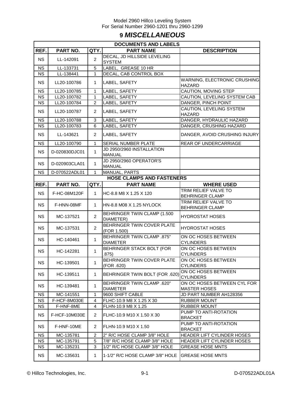# **9** *MISCELLANEOUS*

|           | <b>DOCUMENTS AND LABELS</b> |                |                                                      |                                                    |  |  |
|-----------|-----------------------------|----------------|------------------------------------------------------|----------------------------------------------------|--|--|
| REF.      | PART NO.                    | QTY.           | <b>PART NAME</b>                                     | <b>DESCRIPTION</b>                                 |  |  |
| <b>NS</b> | LL-142091                   | $\overline{2}$ | DECAL, JD HILLSIDE LEVELING<br><b>SYSTEM</b>         |                                                    |  |  |
| <b>NS</b> | LL-133731                   | 5              | LABEL, GREASE 10 HR                                  |                                                    |  |  |
| <b>NS</b> | LL-138441                   | 1              | DECAL, CAB CONTROL BOX                               |                                                    |  |  |
| <b>NS</b> | LL20-100786                 | 1              | LABEL, SAFETY                                        | WARNING, ELECTRONIC CRUSHING<br><b>HAZARD</b>      |  |  |
| <b>NS</b> | LL20-100785                 | $\mathbf{1}$   | LABEL, SAFETY                                        | CAUTION, MOVING STEP                               |  |  |
| <b>NS</b> | LL20-100782                 | $\mathbf{1}$   | LABEL, SAFETY                                        | <b>CAUTION, LEVELING SYSTEM CAB</b>                |  |  |
| <b>NS</b> | LL20-100784                 | $\overline{2}$ | LABEL, SAFETY                                        | DANGER, PINCH POINT                                |  |  |
| <b>NS</b> | LL20-100787                 | 2              | LABEL, SAFETY                                        | CAUTION, LEVELING SYSTEM<br><b>HAZARD</b>          |  |  |
| <b>NS</b> | LL20-100788                 | 3              | LABEL, SAFETY                                        | DANGER, HYDRAULIC HAZARD                           |  |  |
| <b>NS</b> | LL20-100783                 | 6              | LABEL, SAFETY                                        | DANGER, CRUSHING HAZARD                            |  |  |
| <b>NS</b> | LL-143621                   | $\overline{c}$ | LABEL, SAFETY                                        | DANGER, AVOID CRUSHING INJURY                      |  |  |
| <b>NS</b> | LL20-100790                 | $\mathbf{1}$   | <b>SERIAL NUMBER PLATE</b>                           | REAR OF UNDERCARRIAGE                              |  |  |
| <b>NS</b> | D-020830DJC01               | $\mathbf{1}$   | JD 2950/2960 INSTALLATION<br>MANUAL                  |                                                    |  |  |
| <b>NS</b> | D-020903CLA01               | 1              | JD 2950/2960 OPERATOR'S<br><b>MANUAL</b>             |                                                    |  |  |
| <b>NS</b> | D-070522ADL01               | $\mathbf{1}$   | MANUAL, PARTS                                        |                                                    |  |  |
|           |                             |                | <b>HOSE CLAMPS AND FASTENERS</b>                     |                                                    |  |  |
| REF.      | PART NO.                    | QTY.           | <b>PART NAME</b>                                     | <b>WHERE USED</b>                                  |  |  |
| <b>NS</b> | F-HC-08M120F                | $\mathbf{1}$   | HC-8.8 M8 X 1.25 X 120                               | TRIM RELIEF VALVE TO<br><b>BEHRINGER CLAMP</b>     |  |  |
| <b>NS</b> | F-HNN-08MF                  | 1              | HN-8.8 M08 X 1.25 NYLOCK                             | TRIM RELIEF VALVE TO<br><b>BEHRINGER CLAMP</b>     |  |  |
| <b>NS</b> | MC-137521                   | $\overline{2}$ | BEHRINGER TWIN CLAMP (1.500<br>DIAMETER)             | <b>HYDROSTAT HOSES</b>                             |  |  |
| <b>NS</b> | MC-137531                   | $\overline{c}$ | BEHRINGER TWIN COVER PLATE<br>(FOR 1.500)            | <b>HYDROSTAT HOSES</b>                             |  |  |
| <b>NS</b> | HC-140461                   | 1              | <b>BEHRINGER TWIN CLAMP .875"</b><br><b>DIAMETER</b> | ON OC HOSES BETWEEN<br><b>CYLINDERS</b>            |  |  |
| <b>NS</b> | HC-142281                   | $\mathbf{1}$   | BEHRINGER STACK BOLT (FOR<br>.875)                   | ON OC HOSES BETWEEN<br><b>CYLINDERS</b>            |  |  |
| <b>NS</b> | HC-139501                   | 1              | BEHRINGER TWIN COVER PLATE<br>(FOR .620)             | ON OC HOSES BETWEEN<br>CYLINDERS                   |  |  |
| <b>NS</b> | HC-139511                   | 1              | BEHRINGER TWIN BOLT (FOR .620)                       | ON OC HOSES BETWEEN<br><b>CYLINDERS</b>            |  |  |
| <b>NS</b> | HC-139481                   | 1              | <b>BEHRINGER TWIN CLAMP .620"</b><br><b>DIAMETER</b> | ON OC HOSES BETWEEN CYL FOR<br><b>MASTER HOSES</b> |  |  |
| <b>NS</b> | MC-141551                   | 1              | 9600 SHIFT CABLE                                     | JD PART NUMBER AH128356                            |  |  |
| <b>NS</b> | F-HCF-8M030E                | 4              | FLHC-10.9 M8 X 1.25 X 30                             | RUBBER MOUNT                                       |  |  |
| NS.       | F-HNF-8ME                   | 4              | FLHN-10.9 M8 X 1.25                                  | <b>RUBBER MOUNT</b>                                |  |  |
| <b>NS</b> | F-HCF-10M030E               | 2              | FLHC-10.9 M10 X 1.50 X 30                            | PUMP TO ANTI-ROTATION<br><b>BRACKET</b>            |  |  |
| <b>NS</b> | F-HNF-10ME                  | 2              | FLHN-10.9 M10 X 1.50                                 | PUMP TO ANTI-ROTATION<br><b>BRACKET</b>            |  |  |
| <b>NS</b> | MC-135781                   | $\overline{c}$ | 2" R/C HOSE CLAMP 3/8" HOLE                          | HEADER LIFT CYLINDER HOSES                         |  |  |
| <b>NS</b> | MC-135791                   | 5              | 7/8" R/C HOSE CLAMP 3/8" HOLE                        | HEADER LIFT CYLINDER HOSES                         |  |  |
| <b>NS</b> | MC-135231                   | 3              | 1/2" R/C HOSE CLAMP 3/8" HOLE                        | <b>GREASE HOSE MNTS</b>                            |  |  |
| <b>NS</b> | MC-135631                   | 1              | 1-1/2" R/C HOSE CLAMP 3/8" HOLE                      | <b>GREASE HOSE MNTS</b>                            |  |  |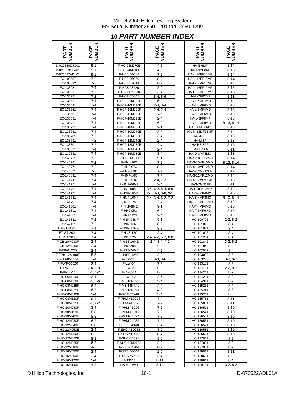# **10** *PART NUMBER INDEX*

| <b>VIBER</b>  | Æ<br>ш<br>PAGI |
|---------------|----------------|
| D-020830DJC01 | $9 - 1$        |
| D-020903CLA01 | $9 - 1$        |
| D-070522ADL01 | $9 - 1$        |
| EC-100557     | $7-2$          |
| EC-100692     | 7-2            |
| EC-133281     | $7 - 4$        |
|               |                |
| EC-136211     | 7-2            |
| EC-136221     | 7-2            |
| EC-136621     | 7-4            |
| EC-136631     | $7 - 4$        |
| EC-136651     | 7-4            |
| EC-136661     | $7-4$          |
| EC-136681     | 7-4            |
| EC-136711     | $7 - 4$        |
|               |                |
| EC-136731     | $7 - 4$        |
| EC-136741     | $7 - 4$        |
| EC-138781     | $7-2$          |
| EC-138791     | $7 - 2$        |
| EC-138801     | 7-2            |
| EC-139631     | $7 - 4$        |
| EC-139641     | $7 - 4$        |
| EC-140751     |                |
|               | 7-2            |
| EC-140761     | 7-2            |
| EC-140771     | 7-2            |
| EC-140871     | $7 - 2$        |
| EC-140891     | $7 - 4$        |
| EC-141741     | $7 - 4$        |
| EC-141751     | $7 - 4$        |
| EC-141761     |                |
|               | 7-4            |
| EC-141771     | 7-4            |
| EC-141781     | $7-4$          |
| EC-141791     | 7-4            |
| EC-141801     | $7 - 4$        |
| EC-141811     | $7 - 4$        |
| EC-141821     | $7 - 4$        |
| EC-141831     | $7 - 2$        |
|               |                |
| EC-142121     | $7 - 2$        |
| ET-ST-20#10   | 7-4            |
| ET-ST-2004    | $7-4$          |
| ET-ST-2005    | $7-4$          |
| F-CB-10M030F  | $2 - 4$        |
| F-CB-12M040F  | $2 - 4$        |
| F-EB-04C20    | 2-4            |
| F-EYB-12M100F | 8-8            |
|               |                |
| F-FHS-8M015E  | 2-4            |
| F-FWF-06020   | $3 - 4$        |
| F-FWH-08      | 2-4, 8-8       |
| F-FWH-10      | 3-4, 4-2       |
| F-HC-06M020F  | $2 - 4$        |
| F-HC-08M020F  | 8-4, 8-6       |
| F-HC-08M025F  | $6 - 2$        |
|               |                |
| F-HC-08M035F  | $6 - 2$        |
| F-HC-08M090F  | 3-4            |
| F-HC-08M120F  | $9 - 1$        |
| F-HC-10M025F  | $3-4, 7-2$     |
| F-HC-10M040F  | $3 - 4$        |
| F-HC-10M110E  | 8-8            |
| F-HC-10M200E  | 8-8            |
| F-HC-12M030F  | $6 - 2$        |
|               |                |
| F-HC-12M040E  | 8-8            |
| F-HC-12M050E  | 2-4            |
| F-HC-12M050F  | 6-2            |
| F-HC-12M060F  | 8-8            |
| F-HC-12M065F  | 6-2            |
| F-HC-12M080E  | $4 - 2$        |
|               |                |
| F-HC-16M050E  | 2-4            |
| F-HC-16M060E  | $3-4$          |
| F-HC-16M120E  | 2-4            |
| F-HC-16M140E  | $4 - 2$        |

| <b>NUMBER</b><br>PART        | <b>PAGE<br/>NUMBER</b> | <b>NUMBER</b><br>PART          | <b>NUMBER</b><br>PAGE         | <b>NUMBER</b><br>PART                 | <b>NUMBER</b><br>PAGE |
|------------------------------|------------------------|--------------------------------|-------------------------------|---------------------------------------|-----------------------|
| D-020830DJC01                | $9-1$                  | F-HC-24M070E                   | $4 - 2$                       | HA-E-6MF                              | $8 - 14$              |
| D-020903CLA01                | $9 - 1$                | F-HC-24M110E                   | $4 - 2$                       | HA-J-8MF8MF                           | $8 - 13$              |
| D-070522ADL01                | $9 - 1$                | F-HC5-04C12                    | $7 - 2$                       | HA-L-10FF10MF                         | $8 - 14$              |
| EC-100557                    | $7 - 2$                | F-HC8-06C20                    | $8 - 8$                       | HA-L-12FF12MF                         | $8 - 14$              |
| EC-100692                    | $7 - 2$                | F-HC8-07C44                    | $8 - 2$                       | HA-L-12MF16MO                         | $8 - 14$              |
| EC-133281<br>EC-136211       | $7 - 4$<br>$7 - 2$     | F-HC8-08F20<br>F-HC8-12C240    | $2 - 6$<br>$3 - 4$            | HA-L-16FF12MF<br>HA-L-16MF16MO        | $8 - 12$<br>$8 - 13$  |
| EC-136221                    | $7 - 2$                | F-HCF-05C08                    | $8-4, 8-6$                    | HA-L-2FP2MP                           | $8 - 11$              |
| EC-136621                    | $7 - 4$                | F-HCF-06M045F                  | $5 - 2$                       | HA-L-4MF4MO                           | $8 - 14$              |
| EC-136631                    | $7 - 4$                | F-HCF-10M020E                  | $2 - 4, 3 - 4$                | HA-L-4MF6MO                           | $8 - 13$              |
| EC-136651                    | $7 - 4$                | F-HCF-10M020F                  | $2-4, 2-4$                    | HA-L-6MF4MO                           | $8 - 13$              |
| EC-136661                    | $7 - 4$                | F-HCF-10M020F                  | $2 - 4$                       | HA-L-6MF6MO                           | $8 - 13$              |
| EC-136681                    | $7 - 4$                | F-HCF-10M025E                  | $2 - 4$                       | HA-L-8FF8MF                           | $8 - 13$              |
| EC-136711                    | $7 - 4$                | F-HCF-10M025F                  | $6 - 2$                       | HA-L-8MF8MO                           | $8-13, 8-14$          |
| EC-136731<br>EC-136741       | $7 - 4$<br>$7 - 4$     | F-HCF-10M030E<br>F-HCF-10M040E | $9 - 1$<br>$8 - 8$            | HA-L-8MO8MO<br>HA-M-12MF12MF          | $8 - 13$<br>$8 - 14$  |
| EC-138781                    | $7 - 2$                | F-HCF-12M025F                  | $3 - 4$                       | <b>HA-M-16F</b>                       | $8 - 13$              |
| EC-138791                    | $7 - 2$                | F-HCF-12M040E                  | $2 - 4$                       | HA-M-8F                               | $8 - 13$              |
| EC-138801                    | $7 - 2$                | F-HCF-12M080E                  | $2 - 4$                       | HA-NB-8FF                             | $8 - 13$              |
| EC-139631                    | $7 - 4$                | F-HCF-16M040E                  | $2 - 4$                       | HA-NJ-2FN                             | $8 - 11$              |
| EC-139641                    | $7 - 4$                | F-HCF-16M080E                  | $3 - 4$                       | HA-Q-8MF8MO                           | $8 - 13$              |
| EC-140751                    | $7 - 2$                | F-HCF-8M030E                   | $9 - 1$                       | HA-S-10FO12MO                         | $8 - 14$              |
| EC-140761                    | $7-2$                  | F-HN-#10C                      | $7 - 2$                       | HA-S-10MF10MO                         | 8-13, 8-14            |
| EC-140771                    | $7 - 2$                | F-HN8-07C                      | $8 - 2$                       | HA-S-10MF12MO                         | $8 - 14$              |
| EC-140871<br>EC-140891       | $7 - 2$<br>$7 - 4$     | F-HNF-#10C<br>F-HNF-#6C        | $7 - 2$<br>$7 - 2$            | HA-S-12MF12MF<br><b>HA-S-12MF12MO</b> | $8 - 12$<br>$8 - 14$  |
| EC-141741                    | $7 - 4$                | F-HNF-04C                      | $2 - 4.7 - 2$                 | HA-S-12MO16MF                         | $8 - 13$              |
| EC-141751                    | $7 - 4$                | F-HNF-06MF                     | $2 - 4$                       | HA-S-2MN2FP                           | $8 - 11$              |
| EC-141761                    | $7 - 4$                | F-HNF-08MF                     | 3-4, 6-2, 8-4, 8-6            | HA-S-4FP10MO                          | $8 - 14$              |
| EC-141771                    | $7 - 4$                | F-HNF-10ME                     | 2-4, 3-4, 8-8, 9-1            | HA-S-4MF4MO                           | $8 - 10$              |
| EC-141781                    | $7 - 4$                | F-HNF-10MF                     | 2-4, 3-4, 6-2, 7-2            | HA-S-4MF8MO                           | $8-10, 8-14$          |
| EC-141791                    | $7 - 4$                | F-HNF-12MF                     | $2 - 4$                       | HA-T-16MF16MO                         | $8 - 12$              |
| EC-141801                    | $7 - 4$                | F-HNF-8ME                      | $9 - 1$                       | HA-T-4MF4MO                           | $8 - 10$              |
| EC-141811<br>EC-141821       | $7 - 4$<br>$7 - 4$     | F-HNJ-05C<br>F-HNJ-12MF        | $6 - 2$<br>$2 - 4$            | HA-T-6MF6MO<br>HA-T-8MF8MO            | $8 - 13$<br>$8 - 13$  |
| EC-141831                    | $7 - 2$                | F-HNN-08MF                     | $9 - 1$                       | HC-100706                             | $2-2, 8-2$            |
| EC-142121                    | $7 - 2$                | F-HNN-10MF                     | $8 - 8$                       | HC-101019                             | 8-4                   |
| ET-ST-20#10                  | $7 - 4$                | F-HNN-12MF                     | $8 - 8$                       | HC-101021                             | $8 - 4$               |
| ET-ST-2004                   | $7 - 4$                | F-HNS-12C                      | $3 - 4$                       | HC-101022                             | $8 - 4$               |
| ET-ST-2005                   | $7 - 4$                | F-HNS-12ME                     | $2-4, 4-2, 6-2, 8-8$          | HC-101264                             | $8 - 4$               |
| F-CB-10M030F                 | $2 - 4$                | F-HNS-16ME                     | $2-4, 3-4, 4-2$               | HC-101842                             | $3-2, 8-2$            |
| F-CB-12M040F                 | $2 - 4$                | F-HNS-20ME<br>F-HNS-24ME       | $5 - 2$                       | HC-101843<br>HC-102082                | $8 - 2$               |
| F-EB-04C20<br>F-EYB-12M100F  | $2 - 4$<br>$8 - 8$     | F-HNSF-12ME                    | $4 - 2$<br>$\overline{2} - 4$ | HC-103099                             | $8 - 4$<br>$8 - 8$    |
| F-FHS-8M015E                 | $2 - 4$                | F-LW-#10                       | $8-4, 8-6$                    | HC-103228                             | $3-2, 8-2$            |
| F-FWF-06020                  | $3 - 4$                | F-LW-04                        | $7 - 2$                       | HC-133151                             | $8 - 8$               |
| F-FWH-08                     | $2-4, 8-8$             | F-LW-05                        | 6-2                           | HC-134191                             | $2-2, 8-2$            |
| F-FWH-10                     | 3-4, 4-2               | F-LW-06A                       | 8-8                           | HC-134201                             | $8-2$                 |
| F-HC-06M020F                 | 2-4                    | <b>F-LW-08A</b>                | 2-6                           | HC-134251                             | 8-2                   |
| F-HC-08M020F                 | 8-4, 8-6               | F-MB-10NR20                    | 3-4                           | HC-134911                             | 8-2                   |
| F-HC-08M025F                 | 6-2                    | F-MB-14NR40                    | $2 - 4$                       | HC-135231                             | 8-8                   |
| F-HC-08M035F<br>F-HC-08M090F | 6-2<br>3-4             | F-MB-18NR24<br>F-PCT-05X48     | 4-2<br>$3 - 4$                | HC-135241<br>HC-135251                | 8-8<br>$8 - 8$        |
| F-HC-08M120F                 | 9-1                    | F-PHM-#10C16                   | $7-2$                         | HC-135761                             | 8-11                  |
| F-HC-10M025F                 | $3-4, 7-2$             | F-PHM-#10C28                   | $7-2$                         | HC-135881                             | 8-11                  |
| F-HC-10M040F                 | 3-4                    | F-PHM-#6C06                    | $7-2$                         | HC-136511                             | 8-10                  |
| F-HC-10M110E                 | 8-8                    | F-PHM-#6C12                    | $7-2$                         | HC-136541                             | $8 - 10$              |
| F-HC-10M200E                 | 8-8                    | F-PHM-04C24                    | $7-2$                         | HC-136551                             | 8-10                  |
| F-HC-12M030F                 | $6 - 2$                | F-PHM-04C36                    | $7-2$                         | HC-136561                             | $8 - 10$              |
| F-HC-12M040E                 | 8-8                    | F-PSL-04X48                    | $3-4$                         | HC-136571                             | $8 - 10$              |
| F-HC-12M050E                 | $2 - 4$                | F-SHC-#10C32                   | 8-6                           | HC-136581                             | $8 - 10$              |
| F-HC-12M050F<br>F-HC-12M060F | $6 - 2$<br>$8 - 8$     | F-SHC-#10C52<br>F-SHC-04C28    | 8-4<br>8-6                    | HC-136591<br>HC-137061                | $8 - 10$<br>$8 - 8$   |
| F-HC-12M065F                 | 6-2                    | F-SHC-10M070F                  | 2-4                           | HC-137891                             | $8 - 2$               |
| F-HC-12M080E                 | 4-2                    | F-SSS-04F04                    | 8-2                           | HC-137901                             | 8-2                   |
| F-HC-16M050E                 | $2 - 4$                | F-SSS-06C08                    | 2-6                           | HC-138011                             | $8 - 11$              |
| F-HC-16M060E                 | 3-4                    | F-UDS-#7X06                    | 3-4                           | HC-138691                             | 8-2                   |
| F-HC-16M120E                 | 2-4                    | HA-133131                      | $8 - 11$                      | HC-138861                             | 8-4                   |
| F-HC-16M140E                 | 4-2                    | HA-A-10MO                      | 8-14                          | HC-139151                             | 3-2, 8-2              |

| ≃<br>ш<br>عاً<br>ৰ   | ≃<br>ш<br>ш<br>তৃ  |
|----------------------|--------------------|
| HA-E-6MF             | $8 - 14$           |
| HA-J-8MF8MF          | $8 - 13$           |
| HA-L-10FF10MF        | $8 - 14$           |
| HA-L-12FF12MF        | $8 - 14$           |
|                      |                    |
| HA-L-12MF16MO        | $8 - 14$           |
| HA-L-16FF12MF        | $8 - 12$           |
| HA-L-16MF16MO        | $8 - 13$           |
| HA-L-2FP2MP          | $8 - 11$           |
| HA-L-4MF4MO          | $8 - 14$           |
| HA-L-4MF6MO          | $8 - 13$           |
| HA-L-6MF4MO          | $8 - 13$           |
|                      | $\overline{8}$ -13 |
| HA-L-6MF6MO          |                    |
| HA-L-8FF8MF          | $8 - 13$           |
| HA-L-8MF8MO          | $8-13, 8-14$       |
| HA-L-8MO8MO          | $8 - 13$           |
| HA-M-12MF12MF        | $8 - 14$           |
| <b>HA-M-16F</b>      | $8 - 13$           |
| HA-M-8F              | $8 - 13$           |
|                      |                    |
| HA-NB-8FF            | $8 - 13$           |
| HA-NJ-2FN            | $8 - 11$           |
| HA-Q-8MF8MO          | $8 - 13$           |
| HA-S-10FO12MO        | $8 - 14$           |
| HA-S-10MF10MO        | 8-13, 8-14         |
| HA-S-10MF12MO        | $8 - 14$           |
| HA-S-12MF12MF        | $8 - 12$           |
| <b>HA-S-12MF12MO</b> | $8 - 14$           |
|                      |                    |
| HA-S-12MO16MF        | $8 - 13$           |
| HA-S-2MN2FP          | 8-11               |
| HA-S-4FP10MO         | $8 - 14$           |
| HA-S-4MF4MO          | $8 - 10$           |
| HA-S-4MF8MO          | $8-10, 8-14$       |
| HA-T-16MF16MO        | $8 - 12$           |
| HA-T-4MF4MO          | $8 - 10$           |
|                      |                    |
| HA-T-6MF6MO          | $8 - 13$           |
| HA-T-8MF8MO          | $8 - 13$           |
| HC-100706            | $2-2, 8-2$         |
| HC-101019            | $8 - 4$            |
| HC-101021            | $8 - 4$            |
| HC-101022            | $8 - 4$            |
| HC-101264            | $8 - 4$            |
| HC-101842            | $3-2, 8-2$         |
| HC-101843            | $8-2$              |
| HC-102082            | 8-4                |
|                      |                    |
| HC-103099            | $8 - 8$            |
| HC-103228            | 3-2, 8-2           |
| HC-133151            | 8-8                |
| HC-134191            | $2-2, 8-2$         |
| HC-134201            | 8-2                |
| HC-134251            | $8-2$              |
| HC-134911            | $\overline{8} - 2$ |
| HC-135231            | 8-8                |
| HC-135241            | $8 - 8$            |
|                      |                    |
| HC-135251            | $8 - 8$            |
| HC-135761            | 8-11               |
| HC-135881            | $8 - 11$           |
| HC-136511            | $8 - 10$           |
| HC-136541            | $8 - 10$           |
| HC-136551            | 8-10               |
| HC-136561            | 8-10               |
| HC-136571            | 8-10               |
| HC-136581            | 8-10               |
|                      |                    |
| HC-136591            | 8-10               |
| HC-137061            | 8-8                |
| HC-137891            | 8-2                |
| HC-137901            | $8-2$              |
| HC-138011            | 8-11               |
| HC-138691            | $8 - 2$            |
| HC-138861            | 8-4                |
| HC-139151            | $3-2, 8-2$         |
|                      |                    |

© Hillco Technologies, Inc. 10-1 10-1 CHILCO Technologies, Inc.